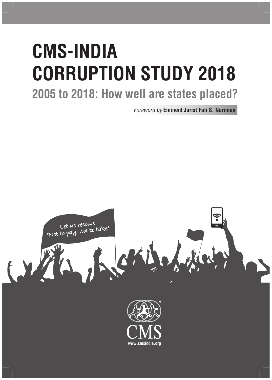## **CMS-India Corruption Study 2018 2005 to 2018: How well are states placed?**

 *Foreword by* **Eminent Jurist Fali S. Nariman** 



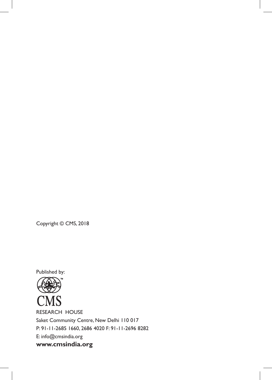Copyright © CMS, 2018

Published by:

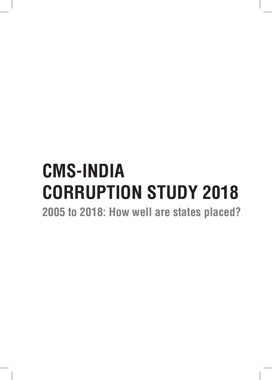# **CMS-India Corruption Study 2018**

**2005 to 2018: How well are states placed?**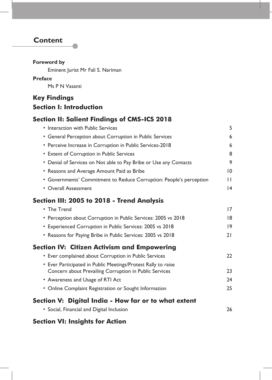#### **Content**

#### **Foreword by**

Eminent Jurist Mr Fali S. Nariman

#### **Preface**

Ms P N Vasanti

#### **Key Findings Section I: Introduction**

| <b>Section II: Salient Findings of CMS-ICS 2018</b>                 |              |
|---------------------------------------------------------------------|--------------|
| • Interaction with Public Services                                  | 5            |
| • General Perception about Corruption in Public Services            | 6            |
| • Perceive Increase in Corruption in Public Services-2018           | 6            |
| • Extent of Corruption in Public Services                           | 8            |
| • Denial of Services on Not able to Pay Bribe or Use any Contacts   | 9            |
| • Reasons and Average Amount Paid as Bribe                          | 10           |
| • Governments' Commitment to Reduce Corruption: People's perception | $\mathbf{1}$ |
| • Overall Assessment                                                | 4            |
| Section III: 2005 to 2018 - Trend Analysis                          |              |
| • The Trend                                                         | 17           |
| • Perception about Corruption in Public Services: 2005 vs 2018      | 8            |
| • Experienced Corruption in Public Services: 2005 vs 2018           | $ 9\rangle$  |
| • Reasons for Paying Bribe in Public Services: 2005 vs 2018         | 21           |
| <b>Section IV: Citizen Activism and Empowering</b>                  |              |
| • Ever complained about Corruption in Public Services               | 22           |
| • Ever Participated in Public Meetings/Protest Rally to raise       |              |
| Concern about Prevailing Corruption in Public Services              | 23           |
| • Awareness and Usage of RTI Act                                    | 24           |
| • Online Complaint Registration or Sought Information               | 25           |
| Section V: Digital India - How far or to what extent                |              |
| • Social, Financial and Digital Inclusion                           | 26           |
|                                                                     |              |

#### **Section VI: Insights for Action**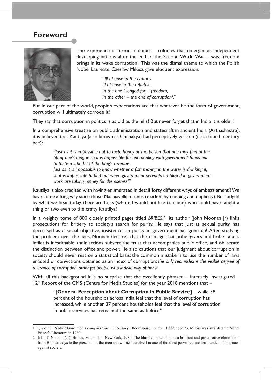#### **Foreword**



The experience of former colonies – colonies that emerged as independent developing nations after the end of the Second World War – was: freedom brings in its wake corruption! This was the dismal theme to which the Polish Nobel Laureate, Czeslaw Milosz, gave eloquent expression:

> *"Ill at ease in the tyranny Ill at ease in the republic In the one I longed for – freedom, In the other – the end of corruption1 ."*

But in our part of the world, people's expectations are that whatever be the form of government, corruption will ultimately corrode it!

They say that corruption in politics is as old as the hills! But never forget that in India it is older!

In a comprehensive treatise on public administration and statecraft in ancient India (Arthashastra), it is believed that Kautilya (also known as Chanakya) had perceptively written (circa fourth-century bce):

> *"Just as it is impossible not to taste honey or the poison that one may find at the tip of one's tongue so it is impossible for one dealing with government funds not to taste a little bit of the king's revenue.*

> *Just as it is impossible to know whether a fish moving in the water is drinking it, so it is impossible to find out when government servants employed in government work are taking money for themselves!"*

Kautilya is also credited with having enumerated in detail 'forty different ways of embezzlement'! We have come a long way since those Machiavellian times (marked by cunning and duplicity). But judged by what we hear today, there are folks (whom I would not like to name) who could have taught a thing or two even to the crafty Kautilya!

In a weighty tome of 800 closely printed pages titled *BRIBES*,<sup>2</sup> its author (John Noonan Jr) links prosecutions for bribery to society's search for purity. He says that just as sexual purity has decreased as a social objective, insistence on purity in government has gone up! After studying the problem over the ages, Noonan declares that the damage that bribe–givers and bribe–takers inflict is inestimable; their actions subvert the trust that accompanies public office, and obliterate the distinction between office and power. He also cautions that our judgment about corruption in society should never rest on a statistical basis: the common mistake is to use the number of laws enacted or convictions obtained as an index of corruption; *the only real index is the visible degree of tolerance of corruption, amongst people who individually abhor it.* 

With all this background it is no surprise that the excellently phrased – intensely investigated – 12<sup>th</sup> Report of the CMS (Centre for Media Studies) for the year 2018 mentions that -

"[**General Perception about Corruption in Public Service]** – while 38 percent of the households across India feel that the level of corruption has increased, while another 37 percent households feel that the level of corruption in public services has remained the same as before."

<sup>1</sup> Quoted in Nadine Gordimer: *Living in Hope and History*, Bloomsbury London, 1999, page 73, Milosz was awarded the Nobel Prize fo Literature in 1980.

<sup>2</sup> John T. Noonan (Jr): Bribes, Macmillan, New York, 1984. The blurb commends it as a brilliant and provocative chronicle – from Biblical days to the present – of the men and women involved in one of the most pervasive and least understood crimes against society.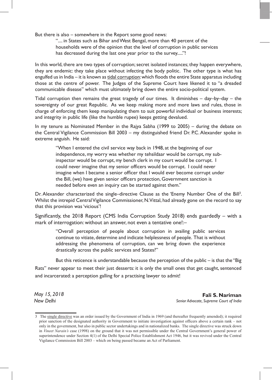But there is also – somewhere in the Report some good news:

".... in States such as Bihar and West Bengal, more than 40 percent of the households were of the opinion that the level of corruption in public services has decreased during the last one year prior to the survey....."!

In this world, there are two types of corruption; secret isolated instances; they happen everywhere, they are endemic: they take place without infecting the body politic. The other type is what has engulfed us in India – it is known as tidal corruption: which floods the entire State apparatus including those at the centre of power. The Judges of the Supreme Court have likened it to "a dreaded communicable disease" which must ultimately bring down the entire socio-political system.

Tidal corruption then remains the great tragedy of our times. It diminishes – day–by–day – the sovereignty of our great Republic. As we keep making more and more laws and rules, those in charge of enforcing them keep manipulating them to suit powerful individual or business interests; and integrity in public life (like the humble rupee) keeps getting devalued.

In my tenure as Nominated Member in the Rajya Sabha (1999 to 2005) – during the debate on the Central Vigilance Commission Bill 2003 – my distinguished friend Dr. P.C. Alexander spoke in extreme anguish. He said:

"When I entered the civil service way back in 1948, at the beginning of our independence, my worry was whether my tehsildaar would be corrupt, my subinspector would be corrupt, my bench clerk in my court would be corrupt. I could never imagine that my senior officers would be corrupt. I could never imagine when I became a senior officer that I would ever become corrupt under the Bill, (we) have given senior officers protection, Government sanction is needed before even an inquiry can be started against them."

Dr. Alexander characterized the single-directive Clause as the 'Enemy Number One of the Bill<sup>3</sup>. Whilst the intrepid Central Vigilance Commissioner, N. Vittal, had already gone on the record to say that this provision was 'vicious'!

Significantly, the 2018 Report (CMS India Corruption Study 2018) ends guardedly – with a mark of interrogation: without an answer, not even a tentative one!:-

"Overall perception of people about corruption in availing public services continue to vitiate, determine and indicate helplessness of people. That is without addressing the phenomena of corruption, can we bring down the experience drastically across the public services and States?"

But this reticence is understandable because the perception of the public – is that the "Big Rats" never appear to meet their just desserts: it is only the small ones that get caught, sentenced and incarcerated: a perception galling for a practising lawyer to admit!

*May 15, 2018 New Delhi*

**Fali S. Nariman** *Senior Advocate, Supreme Court of India*

<sup>3</sup> The single directive was an order issued by the Government of India in 1969 (and thereafter frequently amended); it required prior sanction of the designated authority in Government to initiate investigation against officers above a certain rank – not only in the government, but also in public sector undertakings and in nationalized banks. The single directive was struck down in *Vineet Narain's* case (1998) on the ground that it was not permissible under the Central Government's general power of superintendence under Section 4(1) of the Delhi Special Police Establishment Act 1946, but it was revived under the Central Vigilance Commission Bill 2003 – which on being passed became an Act of Parliament.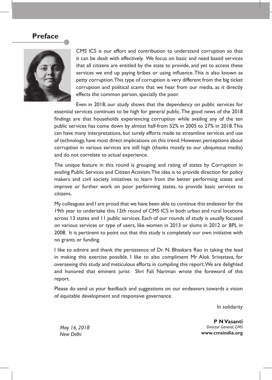#### **Preface**



CMS ICS is our effort and contribution to understand corruption so that it can be dealt with effectively. We focus on basic and need based services that all citizens are entitled by the state to provide, and yet to access these services we end up paying bribes or using influence. This is also known as petty corruption. This type of corruption is very different from the big ticket corruption and political scams that we hear from our media, as it directly effects the common person, specially the poor.

Even in 2018, our study shows that the dependency on public services for essential services continues to be high for general public. The good news of the 2018 findings are that households experiencing corruption while availing any of the ten public services has come down by almost half-from 52% in 2005 to 27% in 2018. This can have many interpretations, but surely efforts made to streamline services and use of technology, have most direct implications on this trend. However, perceptions about corruption in various services are still high (thanks mostly to our ubiquitous media) and do not correlate to actual experience.

The unique feature in this round is grouping and rating of states by Corruption in availing Public Services and Citizen Activism. The idea is to provide direction for policy makers and civil society initiatives to learn from the better performing states and improve or further work on poor performing states, to provide basic services to citizens.

My colleagues and I are proud that we have been able to continue this endeavor for the 19th year to undertake this 12th round of CMS ICS in both urban and rural locations across 13 states and 11 public services. Each of our rounds of study is usually focused on various services or type of users, like women in 2013 or slums in 2012 or BPL in 2008. It is pertinent to point out that this study is completely our own initiative with no grants or funding.

I like to admire and thank the persistence of Dr. N. Bhaskara Rao in taking the lead in making this exercise possible. I like to also compliment Mr Alok Srivastava, for overseeing this study and meticulous efforts in compiling this report. We are delighted and honored that eminent jurist Shri Fali Nariman wrote the foreword of this report.

Please do send us your feedback and suggestions on our endeavors towards a vision of equitable development and responsive governance.

In solidarity

**P N Vasanti** *Director General, CMS* **www.cmsindia.org**

*May 16, 2018 New Delhi*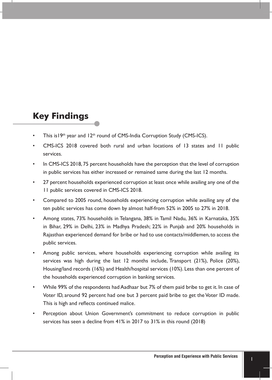## **Key Findings**

- This is  $19<sup>th</sup>$  year and  $12<sup>th</sup>$  round of CMS-India Corruption Study (CMS-ICS).
- CMS-ICS 2018 covered both rural and urban locations of 13 states and 11 public services.
- In CMS-ICS 2018, 75 percent households have the perception that the level of corruption in public services has either increased or remained same during the last 12 months.
- 27 percent households experienced corruption at least once while availing any one of the 11 public services covered in CMS-ICS 2018.
- Compared to 2005 round, households experiencing corruption while availing any of the ten public services has come down by almost half-from 52% in 2005 to 27% in 2018.
- Among states, 73% households in Telangana, 38% in Tamil Nadu, 36% in Karnataka, 35% in Bihar, 29% in Delhi, 23% in Madhya Pradesh; 22% in Punjab and 20% households in Rajasthan experienced demand for bribe or had to use contacts/middlemen, to access the public services.
- Among public services, where households experiencing corruption while availing its services was high during the last 12 months include, Transport (21%), Police (20%), Housing/land records (16%) and Health/hospital services (10%). Less than one percent of the households experienced corruption in banking services.
- While 99% of the respondents had Aadhaar but 7% of them paid bribe to get it. In case of Voter ID, around 92 percent had one but 3 percent paid bribe to get the Voter ID made. This is high and reflects continued malice.
- Perception about Union Government's commitment to reduce corruption in public services has seen a decline from 41% in 2017 to 31% in this round (2018)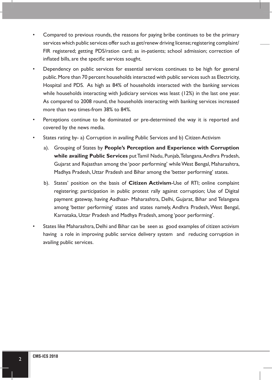- Compared to previous rounds, the reasons for paying bribe continues to be the primary services which public services offer such as get/renew driving license; registering complaint/ FIR registered; getting PDS/ration card; as in-patients; school admission; correction of inflated bills, are the specific services sought.
- Dependency on public services for essential services continues to be high for general public. More than 70 percent households interacted with public services such as Electricity, Hospital and PDS. As high as 84% of households interacted with the banking services while households interacting with Judiciary services was least (12%) in the last one year. As compared to 2008 round, the households interacting with banking services increased more than two times-from 38% to 84%.
- Perceptions continue to be dominated or pre-determined the way it is reported and covered by the news media.
- States rating by- a) Corruption in availing Public Services and b) Citizen Activism
	- a). Grouping of States by **People's Perception and Experience with Corruption while availing Public Services** put Tamil Nadu, Punjab, Telangana, Andhra Pradesh, Gujarat and Rajasthan among the 'poor performing' while West Bengal, Maharashtra, Madhya Pradesh, Uttar Pradesh and Bihar among the 'better performing' states.
	- b). States' position on the basis of **Citizen Activism**-Use of RTI; online complaint registering; participation in public protest rally against corruption; Use of Digital payment gateway, having Aadhaar- Maharashtra, Delhi, Gujarat, Bihar and Telangana among 'better performing' states and states namely, Andhra Pradesh, West Bengal, Karnataka, Uttar Pradesh and Madhya Pradesh, among 'poor performing'.
- States like Maharashtra, Delhi and Bihar can be seen as good examples of citizen activism having a role in improving public service delivery system and reducing corruption in availing public services.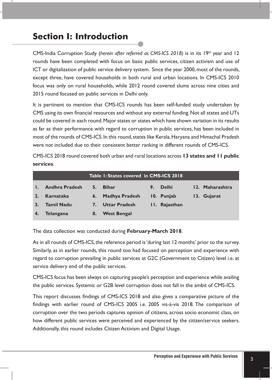## **Section I: Introduction**

CMS-India Corruption Study (herein after referred as CMS-ICS 2018) is in its 19th year and 12 rounds have been completed with focus on basic public services, citizen activism and use of ICT or digitalization of public service delivery system. Since the year 2000, most of the rounds, except three, have covered households in both rural and urban locations. In CMS-ICS 2010 focus was only on rural households, while 2012 round covered slums across nine cities and 2015 round focused on public services in Delhi only.

It is pertinent to mention that CMS-ICS rounds has been self-funded study undertaken by CMS using its own financial resources and without any external funding. Not all states and UTs could be covered in each round. Major states or states which have shown variation in its results as far as their performance with regard to corruption in public services, has been included in most of the rounds of CMS-ICS. In this round, states like Kerala, Haryana and Himachal Pradesh were not included due to their consistent better ranking in different rounds of CMS-ICS.

CMS-ICS 2018 round covered both urban and rural locations across **13 states and 11 public services**.

| Table 1: States covered in CMS-ICS 2018 |                       |    |                       |    |               |                 |
|-----------------------------------------|-----------------------|----|-----------------------|----|---------------|-----------------|
|                                         | <b>Andhra Pradesh</b> | 5. | <b>Bihar</b>          | 9. | <b>Delhi</b>  | 12. Maharashtra |
|                                         | Karnataka             | 6. | <b>Madhya Pradesh</b> |    | 10. Punjab    | 13. Gujarat     |
|                                         | <b>Tamil Nadu</b>     |    | <b>Uttar Pradesh</b>  |    | II. Rajasthan |                 |
|                                         | Telangana             | 8. | <b>West Bengal</b>    |    |               |                 |

The data collection was conducted during **February-March 2018**.

As in all rounds of CMS-ICS, the reference period is 'during last 12 months' prior to the survey. Similarly, as in earlier rounds, this round too had focused on perception and experience with regard to corruption prevailing in public services at G2C (Government to Citizen) level i.e. at service delivery end of the public services.

CMS-ICS focus has been always on capturing people's perception and experience while availing the public services. Systemic or G2B level corruption does not fall in the ambit of CMS-ICS.

This report discusses findings of CMS-ICS 2018 and also gives a comparative picture of the findings with earlier round of CMS-ICS 2005 i.e. 2005 vis-à-vis 2018. The comparison of corruption over the two periods captures opinion of citizens, across socio economic class, on how different public services were perceived and experienced by the citizen/service seekers. Additionally, this round includes Citizen Activism and Digital Usage.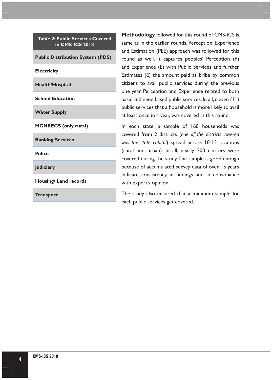| <b>Table 2: Public Services Covered</b><br>in CMS-ICS 2018 |
|------------------------------------------------------------|
| <b>Public Distribution System (PDS)</b>                    |
| <b>Electricity</b>                                         |
| <b>Health/Hospital</b>                                     |
| <b>School Education</b>                                    |
| <b>Water Supply</b>                                        |
| <b>MGNREGS (only rural)</b>                                |
| <b>Banking Services</b>                                    |
| Police                                                     |
| Judiciary                                                  |
| Housing/Land records                                       |
| <b>Transport</b>                                           |

**Methodology** followed for this round of CMS-ICS is same as in the earlier rounds. Perception, Experience and Estimation (PEE) approach was followed for this round as well. It captures peoples' Perception (P) and Experience (E) with Public Services and further Estimates (E) the amount paid as bribe by common citizens to avail public services during the previous one year. Perception and Experience related to both basic and need based public services. In all, eleven (11) public services that a household is more likely to avail at least once in a year, was covered in this round.

In each state, a sample of 160 households was covered from 2 districts (*one of the districts covered was the state capital*) spread across 10-12 locations (rural and urban). In all, nearly 200 clusters were covered during the study. The sample is good enough because of accumulated survey data of over 15 years indicate consistency in findings and in consonance with expert's opinion.

The study also ensured that a minimum sample for each public services get covered.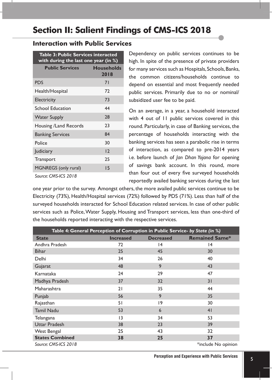## **Section II: Salient Findings of CMS-ICS 2018**

#### **Interaction with Public Services**

| <b>Table 3: Public Services interacted</b><br>with during the last one year (in $%$ ) |                           |  |  |  |
|---------------------------------------------------------------------------------------|---------------------------|--|--|--|
| <b>Public Services</b>                                                                | <b>Households</b><br>2018 |  |  |  |
| <b>PDS</b>                                                                            | 71                        |  |  |  |
| Health/Hospital                                                                       | 72                        |  |  |  |
| Electricity                                                                           | 73                        |  |  |  |
| <b>School Education</b>                                                               | 44                        |  |  |  |
| <b>Water Supply</b>                                                                   | 28                        |  |  |  |
| Housing /Land Records                                                                 | 23                        |  |  |  |
| <b>Banking Services</b>                                                               | 84                        |  |  |  |
| Police                                                                                | 30                        |  |  |  |
| <b>Judiciary</b>                                                                      | 12                        |  |  |  |
| Transport                                                                             | 25                        |  |  |  |
| MGNREGS (only rural)                                                                  | 15                        |  |  |  |
| Source: CMS-ICS 2018                                                                  |                           |  |  |  |

Dependency on public services continues to be high. In spite of the presence of private providers for many services such as Hospitals, Schools, Banks, the common citizens/households continue to depend on essential and most frequently needed public services. Primarily due to no or nominal/ subsidized user fee to be paid.

On an average, in a year, a household interacted with 4 out of 11 public services covered in this round. Particularly, in case of Banking services, the percentage of households interacting with the banking services has seen a parabolic rise in terms of interaction, as compared to pre-2014 years i.e. before launch of *Jan Dhan Yojana* for opening of savings bank account. In this round, more than four out of every five surveyed households reportedly availed banking services during the last

one year prior to the survey. Amongst others, the more availed public services continue to be Electricity (73%), Health/Hospital services (72%) followed by PDS (71%). Less than half of the surveyed households interacted for School Education related services. In case of other public services such as Police, Water Supply, Housing and Transport services, less than one-third of the households reported interacting with the respective services.

| Table 4: General Perception of Corruption in Public Service- by State (in %) |                  |                  |                       |  |  |
|------------------------------------------------------------------------------|------------------|------------------|-----------------------|--|--|
| <b>State</b>                                                                 | <b>Increased</b> | <b>Decreased</b> | <b>Remained Same*</b> |  |  |
| Andhra Pradesh                                                               | 72               | 14               | 14                    |  |  |
| <b>Bihar</b>                                                                 | 25               | 45               | 30                    |  |  |
| Delhi                                                                        | 34               | 26               | 40                    |  |  |
| Gujarat                                                                      | 48               | 9                | 43                    |  |  |
| Karnataka                                                                    | 24               | 29               | 47                    |  |  |
| Madhya Pradesh                                                               | 37               | 32               | 31                    |  |  |
| Maharashtra                                                                  | 21               | 35               | 44                    |  |  |
| Punjab                                                                       | 56               | 9                | 35                    |  |  |
| Rajasthan                                                                    | 51               | 19               | 30                    |  |  |
| <b>Tamil Nadu</b>                                                            | 53               | 6                | 41                    |  |  |
| Telangana                                                                    | 3                | 34               | 53                    |  |  |
| Uttar Pradesh                                                                | 38               | 23               | 39                    |  |  |
| <b>West Bengal</b>                                                           | 25               | 43               | 32                    |  |  |
| <b>States Combined</b>                                                       | 38               | 25               | 37                    |  |  |
| Source: CMS-ICS 2018                                                         |                  |                  | *include No opinion   |  |  |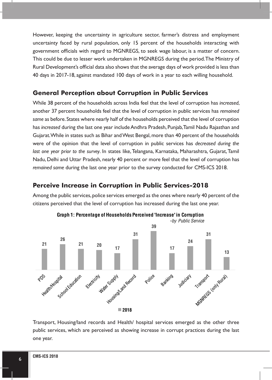However, keeping the uncertainty in agriculture sector, farmer's distress and employment uncertainty faced by rural population, only 15 percent of the households interacting with government officials with regard to MGNREGS, to seek wage labour, is a matter of concern. This could be due to lesser work undertaken in MGNREGS during the period. The Ministry of Rural Development's official data also shows that the average days of work provided is less than 40 days in 2017-18, against mandated 100 days of work in a year to each willing household.

#### **General Perception about Corruption in Public Services**

While 38 percent of the households across India feel that the level of corruption has *increased*, another 37 percent households feel that the level of corruption in public services has *remained same* as before. States where nearly half of the households perceived that the level of corruption has *increased* during the last one year include Andhra Pradesh, Punjab, Tamil Nadu Rajasthan and Gujarat. While in states such as Bihar and West Bengal, more than 40 percent of the households were of the opinion that the level of corruption in public services has *decreased during the last one year prior to the survey*. In states like, Telangana, Karnataka, Maharashtra, Gujarat, Tamil Nadu, Delhi and Uttar Pradesh, nearly 40 percent or more feel that the level of corruption has *remained same* during the last one year prior to the survey conducted for CMS-ICS 2018.

#### **Perceive Increase in Corruption in Public Services-2018**

Among the public services, police services emerged as the ones where nearly 40 percent of the citizens perceived that the level of corruption has increased during the last one year.



Transport, Housing/land records and Health/ hospital services emerged as the other three public services, which are perceived as showing increase in corrupt practices during the last one year.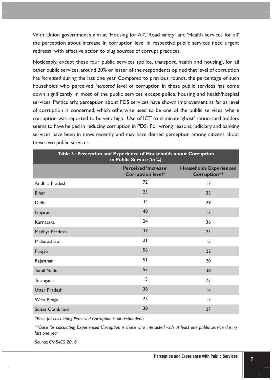With Union government's aim at 'Housing for All', 'Road safety' and 'Health services for all' the perception about increase in corruption level in respective public services need urgent redressal with effective action to plug sources of corrupt practices.

Noticeably, except these four public services (police, transport, health and housing), for all other public services, around 20% or lesser of the respondents opined that level of corruption has *increased* during the last one year. Compared to previous rounds, the percentage of such households who perceived *increased* level of corruption in these public services has come down significantly in most of the public services except police, housing and health/hospital services. Particularly, perception about PDS services have shown improvement as far as level of corruption is concerned, which otherwise used to be one of the public services, where corruption was reported to be very high. Use of ICT to eliminate 'ghost' ration card holders seems to have helped in reducing corruption in PDS. For wrong reasons, judiciary and banking services have been in news recently, and may have dented perception among citizens about these two public services.

| Table 5: Perception and Experience of Households about Corruption<br>in Public Service (in %) |                                                         |                                               |  |  |
|-----------------------------------------------------------------------------------------------|---------------------------------------------------------|-----------------------------------------------|--|--|
|                                                                                               | <b>Perceived 'Increase'</b><br><b>Corruption level*</b> | <b>Households Experienced</b><br>Corruption** |  |  |
| Andhra Pradesh                                                                                | 72                                                      | 17                                            |  |  |
| <b>Bihar</b>                                                                                  | 25                                                      | 35                                            |  |  |
| Delhi                                                                                         | 34                                                      | 29                                            |  |  |
| Gujarat                                                                                       | 48                                                      | 3                                             |  |  |
| Karnataka                                                                                     | 24                                                      | 36                                            |  |  |
| Madhya Pradesh                                                                                | 37                                                      | 23                                            |  |  |
| Maharashtra                                                                                   | 21                                                      | 15                                            |  |  |
| Punjab                                                                                        | 56                                                      | 22                                            |  |  |
| Rajasthan                                                                                     | 51                                                      | 20                                            |  |  |
| <b>Tamil Nadu</b>                                                                             | 53                                                      | 38                                            |  |  |
| Telangana                                                                                     | 13                                                      | 73                                            |  |  |
| <b>Uttar Pradesh</b>                                                                          | 38                                                      | 4                                             |  |  |
| <b>West Bengal</b>                                                                            | 25                                                      | 15                                            |  |  |
| <b>States Combined</b>                                                                        | 38                                                      | 27                                            |  |  |

\**Base for calculating Perceived Corruption is all respondents* 

*\*\*Base for calculating Experienced Corruption is those who interacted with at least one public service during last one year*

*Source: CMS-ICS 2018*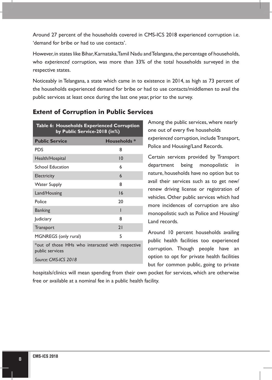Around 27 percent of the households covered in CMS-ICS 2018 experienced corruption i.e. 'demand for bribe or had to use contacts'.

However, in states like Bihar, Karnataka, Tamil Nadu and Telangana, the percentage of households, who *experienced* corruption, was more than 33% of the total households surveyed in the respective states.

Noticeably in Telangana, a state which came in to existence in 2014, as high as 73 percent of the households experienced demand for bribe or had to use contacts/middlemen to avail the public services at least once during the last one year, prior to the survey.

| <b>Table 6: Households Experienced Corruption</b><br>by Public Service-2018 (in%) |                     |  |  |  |
|-----------------------------------------------------------------------------------|---------------------|--|--|--|
| <b>Public Service</b>                                                             | <b>Households</b> * |  |  |  |
| <b>PDS</b>                                                                        | 8                   |  |  |  |
| Health/Hospital                                                                   | $\overline{10}$     |  |  |  |
| School Education                                                                  | 6                   |  |  |  |
| Electricity                                                                       | $\overline{6}$      |  |  |  |
| <b>Water Supply</b>                                                               | 8                   |  |  |  |
| Land/Housing                                                                      | 16                  |  |  |  |
| Police                                                                            | 20                  |  |  |  |
| <b>Banking</b>                                                                    | ı                   |  |  |  |
| Judiciary                                                                         | 8                   |  |  |  |
| Transport                                                                         | 21                  |  |  |  |
| MGNREGS (only rural)                                                              | 5                   |  |  |  |
| *out of those HHs who interacted with respective<br>public services               |                     |  |  |  |
| Source: CMS-ICS 2018                                                              |                     |  |  |  |

#### **Extent of Corruption in Public Services**

Among the public services, where nearly one out of every five households *experienced* corruption, include Transport, Police and Housing/Land Records.

Certain services provided by Transport department being monopolistic in nature, households have no option but to avail their services such as to get new/ renew driving license or registration of vehicles. Other public services which had more incidences of corruption are also monopolistic such as Police and Housing/ Land records.

Around 10 percent households availing public health facilities too experienced corruption. Though people have an option to opt for private health facilities but for common public, going to private

hospitals/clinics will mean spending from their own pocket for services, which are otherwise free or available at a nominal fee in a public health facility.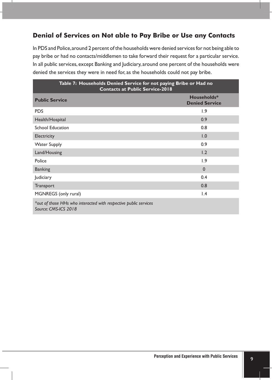#### **Denial of Services on Not able to Pay Bribe or Use any Contacts**

In PDS and Police, around 2 percent of the households were denied services for not being able to pay bribe or had no contacts/middlemen to take forward their request for a particular service. In all public services, except Banking and Judiciary, around one percent of the households were denied the services they were in need for, as the households could not pay bribe.

| Table 7: Households Denied Service for not paying Bribe or Had no<br><b>Contacts at Public Service-2018</b> |                                      |  |  |
|-------------------------------------------------------------------------------------------------------------|--------------------------------------|--|--|
| <b>Public Service</b>                                                                                       | Households*<br><b>Denied Service</b> |  |  |
| <b>PDS</b>                                                                                                  | 1.9                                  |  |  |
| Health/Hospital                                                                                             | 0.9                                  |  |  |
| School Education                                                                                            | 0.8                                  |  |  |
| Electricity                                                                                                 | 1.0                                  |  |  |
| <b>Water Supply</b>                                                                                         | 0.9                                  |  |  |
| Land/Housing                                                                                                | 1.2                                  |  |  |
| Police                                                                                                      | 1.9                                  |  |  |
| <b>Banking</b>                                                                                              | $\mathbf{0}$                         |  |  |
| Judiciary                                                                                                   | 0.4                                  |  |  |
| Transport                                                                                                   | 0.8                                  |  |  |
| MGNREGS (only rural)                                                                                        | $\mathsf{I}$ .4                      |  |  |
| *out of those HHs who interacted with respective public services<br>Source: CMS-ICS 2018                    |                                      |  |  |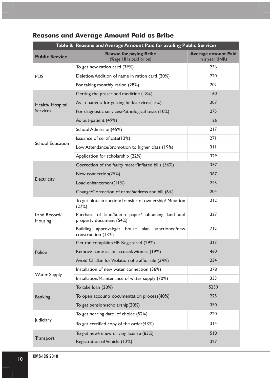#### **Reasons and Average Amount Paid as Bribe**

| Table 8: Reasons and Average Amount Paid for availing Public Services |                                                                             |                                               |  |  |
|-----------------------------------------------------------------------|-----------------------------------------------------------------------------|-----------------------------------------------|--|--|
| <b>Public Service</b>                                                 | <b>Reason for paying Bribe</b><br>(%age HHs paid bribe)                     | <b>Average amount Paid</b><br>in a year (INR) |  |  |
|                                                                       | To get new ration card (39%)                                                | 256                                           |  |  |
| <b>PDS</b>                                                            | Deletion/Addition of name in ration card (20%)                              | 220                                           |  |  |
|                                                                       | For taking monthly ration (28%)                                             | 202                                           |  |  |
|                                                                       | Getting the prescribed medicine (18%)                                       | 160                                           |  |  |
| Health/ Hospital                                                      | As in-patient/ for getting bed/services(15%)                                | 207                                           |  |  |
| Services                                                              | For diagnostic services/Pathological tests (10%)                            | 275                                           |  |  |
|                                                                       | As out-patient (49%)                                                        | 126                                           |  |  |
|                                                                       | School Admission(45%)                                                       | 217                                           |  |  |
|                                                                       | Issuance of certificate (12%)                                               | 271                                           |  |  |
| School Education                                                      | Low Attendance/promotion to higher class (19%)                              | 311                                           |  |  |
|                                                                       | Application for scholarship (22%)                                           | 329                                           |  |  |
|                                                                       | Correction of the faulty meter/inflated bills (56%)                         | 357                                           |  |  |
|                                                                       | New connection(25%)                                                         | 367                                           |  |  |
| Electricity                                                           | Load enhancement(11%)                                                       | 245                                           |  |  |
|                                                                       | Change/Correction of name/address and bill (6%)                             | 204                                           |  |  |
|                                                                       | To get plots in auction/Transfer of ownership/ Mutation<br>(27%)            | 212                                           |  |  |
| Land Record/<br>Housing                                               | Purchase of land/Stamp paper/ obtaining land and<br>property document (54%) | 327                                           |  |  |
|                                                                       | Building approval/get house plan sanctioned/new<br>construction (13%)       | 712                                           |  |  |
|                                                                       | Get the complaint/FIR Registered (29%)                                      | 313                                           |  |  |
| Police                                                                | Remove name as an accused/witness (19%)                                     | 460                                           |  |  |
|                                                                       | Avoid Challan for Violation of traffic rule (34%)                           | 234                                           |  |  |
|                                                                       | Installation of new water connection (36%)                                  | 278                                           |  |  |
| <b>Water Supply</b>                                                   | Installation/Maintenance of water supply (70%)                              | 333                                           |  |  |
| <b>Banking</b>                                                        | To take loan (30%)                                                          | 5250                                          |  |  |
|                                                                       | To open account/ documentation process(40%)                                 | 225                                           |  |  |
|                                                                       | To get pension/scholarship(20%)                                             | 350                                           |  |  |
|                                                                       | To get hearing date of choice (52%)                                         | 220                                           |  |  |
| Judiciary                                                             | To get certified copy of the order(43%)                                     | 314                                           |  |  |
|                                                                       | To get new/renew driving license (83%)                                      | 518                                           |  |  |
| Transport                                                             | Registration of Vehicle (12%)                                               | 327                                           |  |  |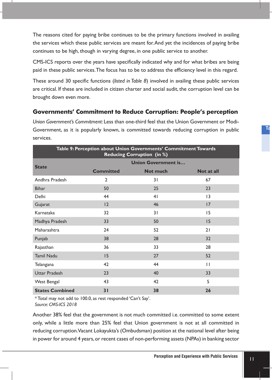The reasons cited for paying bribe continues to be the primary functions involved in availing the services which these public services are meant for. And yet the incidences of paying bribe continues to be high, though in varying degree, in one public service to another.

CMS-ICS reports over the years have specifically indicated why and for what bribes are being paid in these public services. The focus has to be to address the efficiency level in this regard.

These around 30 specific functions (*listed in Table 8*) involved in availing these public services are critical. If these are included in citizen charter and social audit, the corruption level can be brought down even more.

#### **Governments' Commitment to Reduce Corruption: People's perception**

*Union Government's Commitment*: Less than one-third feel that the Union Government or Modi-Government, as it is popularly known, is committed towards reducing corruption in public services.

| Table 9: Perception about Union Governments' Commitment Towards<br><b>Reducing Corruption (in %)</b> |                            |                 |              |  |  |  |
|------------------------------------------------------------------------------------------------------|----------------------------|-----------------|--------------|--|--|--|
| <b>State</b>                                                                                         | <b>Union Government is</b> |                 |              |  |  |  |
|                                                                                                      | <b>Committed</b>           | <b>Not much</b> | Not at all   |  |  |  |
| Andhra Pradesh                                                                                       | $\overline{2}$             | 31              | 67           |  |  |  |
| <b>Bihar</b>                                                                                         | 50                         | 25              | 23           |  |  |  |
| Delhi                                                                                                | 44                         | 41              | 3            |  |  |  |
| Gujarat                                                                                              | 12                         | 46              | 17           |  |  |  |
| Karnataka                                                                                            | 32                         | 31              | 15           |  |  |  |
| Madhya Pradesh                                                                                       | 33                         | 50              | 15           |  |  |  |
| Maharashtra                                                                                          | 24                         | 52              | 21           |  |  |  |
| Punjab                                                                                               | 38                         | 28              | 32           |  |  |  |
| Rajasthan                                                                                            | 36                         | 33              | 28           |  |  |  |
| <b>Tamil Nadu</b>                                                                                    | 15                         | 27              | 52           |  |  |  |
| Telangana                                                                                            | 42                         | 44              | $\mathbf{H}$ |  |  |  |
| <b>Uttar Pradesh</b>                                                                                 | 23                         | 40              | 33           |  |  |  |
| West Bengal                                                                                          | 43                         | 42              | 5            |  |  |  |
| <b>States Combined</b>                                                                               | 31                         | 38              | 26           |  |  |  |

\* Total may not add to 100.0, as rest responded 'Can't Say'.

*Source: CMS-ICS 2018*

Another 38% feel that the government is not much committed i.e. committed to some extent only, while a little more than 25% feel that Union government is not at all committed in reducing corruption. Vacant Lokayukta's (Ombudsman) position at the national level after being in power for around 4 years, or recent cases of non-performing assets (NPAs) in banking sector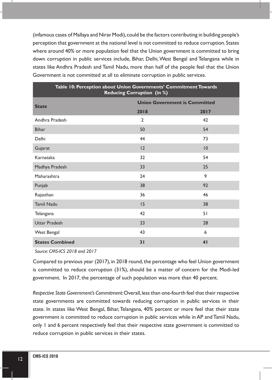(infamous cases of Mallaya and Nirav Modi), could be the factors contributing in building people's perception that government at the national level is not committed to reduce corruption. States where around 40% or more population feel that the Union government is committed to bring down corruption in public services include, Bihar, Delhi, West Bengal and Telangana while in states like Andhra Pradesh and Tamil Nadu, more than half of the people feel that the Union Government is not committed at all to eliminate corruption in public services.

| Table 10: Perception about Union Governments' Commitment Towards<br><b>Reducing Corruption (in %)</b> |                                      |      |  |  |
|-------------------------------------------------------------------------------------------------------|--------------------------------------|------|--|--|
| <b>State</b>                                                                                          | <b>Union Government is Committed</b> |      |  |  |
|                                                                                                       | 2018                                 | 2017 |  |  |
| Andhra Pradesh                                                                                        | $\overline{2}$                       | 42   |  |  |
| <b>Bihar</b>                                                                                          | 50                                   | 54   |  |  |
| Delhi                                                                                                 | 44                                   | 73   |  |  |
| Gujarat                                                                                               | 12                                   | 10   |  |  |
| Karnataka                                                                                             | 32                                   | 54   |  |  |
| Madhya Pradesh                                                                                        | 33                                   | 25   |  |  |
| Maharashtra                                                                                           | 24                                   | 9    |  |  |
| Punjab                                                                                                | 38                                   | 92   |  |  |
| Rajasthan                                                                                             | 36                                   | 46   |  |  |
| <b>Tamil Nadu</b>                                                                                     | 15                                   | 38   |  |  |
| Telangana                                                                                             | 42                                   | 51   |  |  |
| <b>Uttar Pradesh</b>                                                                                  | 23                                   | 28   |  |  |
| West Bengal                                                                                           | 43                                   | 6    |  |  |
| <b>States Combined</b>                                                                                | 31                                   | 41   |  |  |

*Source: CMS-ICS 2018 and 2017*

Compared to previous year (2017), in 2018 round, the percentage who feel Union government is committed to reduce corruption (31%), should be a matter of concern for the Modi-led government. In 2017, the percentage of such population was more than 40 percent.

*Respective State Government's Commitment:* Overall, less than one-fourth feel that their respective state governments are committed towards reducing corruption in public services in their state. In states like West Bengal, Bihar, Telangana, 40% percent or more feel that their state government is committed to reduce corruption in public services while in AP and Tamil Nadu, only 1 and 6 percent respectively feel that their respective state government is committed to reduce corruption in public services in their states.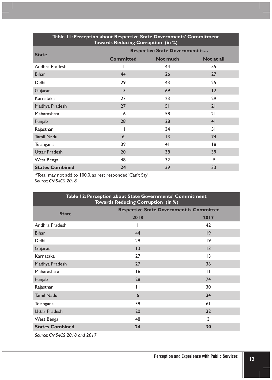| Table 11: Perception about Respective State Governments' Commitment, |  |
|----------------------------------------------------------------------|--|
| Towards Reducing Corruption (in %)                                   |  |

| <b>State</b>           |                  | <b>Respective State Government is</b> |            |
|------------------------|------------------|---------------------------------------|------------|
|                        | <b>Committed</b> | Not much                              | Not at all |
| Andhra Pradesh         |                  | 44                                    | 55         |
| <b>Bihar</b>           | 44               | 26                                    | 27         |
| Delhi                  | 29               | 43                                    | 25         |
| Gujarat                | 3                | 69                                    | 12         |
| Karnataka              | 27               | 23                                    | 29         |
| Madhya Pradesh         | 27               | 51                                    | 21         |
| Maharashtra            | 16               | 58                                    | 21         |
| Punjab                 | 28               | 28                                    | 41         |
| Rajasthan              | П                | 34                                    | 51         |
| <b>Tamil Nadu</b>      | 6                | 3                                     | 74         |
| Telangana              | 39               | 41                                    | 18         |
| <b>Uttar Pradesh</b>   | 20               | 38                                    | 39         |
| West Bengal            | 48               | 32                                    | 9          |
| <b>States Combined</b> | 24               | 39                                    | 33         |

\*Total may not add to 100.0, as rest responded 'Can't Say'. *Source: CMS-ICS 2018*

| Table 12: Perception about State Governments' Commitment<br>Towards Reducing Corruption (in %) |                                                 |      |  |  |
|------------------------------------------------------------------------------------------------|-------------------------------------------------|------|--|--|
| <b>State</b>                                                                                   | <b>Respective State Government is Committed</b> |      |  |  |
|                                                                                                | 2018                                            | 2017 |  |  |
| Andhra Pradesh                                                                                 |                                                 | 42   |  |  |
| <b>Bihar</b>                                                                                   | 44                                              | 9    |  |  |
| Delhi                                                                                          | 29                                              | 9    |  |  |
| Gujarat                                                                                        | 3                                               | 3    |  |  |
| Karnataka                                                                                      | 27                                              | 3    |  |  |
| Madhya Pradesh                                                                                 | 27                                              | 36   |  |  |
| Maharashtra                                                                                    | 16                                              | П    |  |  |
| Punjab                                                                                         | 28                                              | 74   |  |  |
| Rajasthan                                                                                      | $\mathbf{H}$                                    | 30   |  |  |
| <b>Tamil Nadu</b>                                                                              | 6                                               | 34   |  |  |
| Telangana                                                                                      | 39                                              | 61   |  |  |
| <b>Uttar Pradesh</b>                                                                           | 20                                              | 32   |  |  |
| West Bengal                                                                                    | 48                                              | 3    |  |  |
| <b>States Combined</b>                                                                         | 24                                              | 30   |  |  |

*Source: CMS-ICS 2018 and 2017*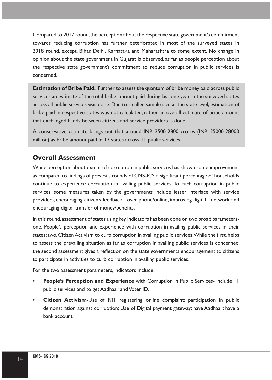Compared to 2017 round, the perception about the respective state government's commitment towards reducing corruption has further deteriorated in most of the surveyed states in 2018 round, except, Bihar, Delhi, Karnataka and Maharashtra to some extent. No change in opinion about the state government in Gujarat is observed, as far as people perception about the respective state government's commitment to reduce corruption in public services is concerned.

**Estimation of Bribe Paid:** Further to assess the quantum of bribe money paid across public services an estimate of the total bribe amount paid during last one year in the surveyed states across all public services was done. Due to smaller sample size at the state level, estimation of bribe paid in respective states was not calculated, rather an overall estimate of bribe amount that exchanged hands between citizens and service providers is done.

A conservative estimate brings out that around INR 2500-2800 crores (INR 25000-28000 million) as bribe amount paid in 13 states across 11 public services.

#### **Overall Assessment**

While perception about extent of corruption in public services has shown some improvement as compared to findings of previous rounds of CMS-ICS, a significant percentage of households continue to experience corruption in availing public services. To curb corruption in public services, some measures taken by the governments include lesser interface with service providers, encouraging citizen's feedback over phone/online, improving digital network and encouraging digital transfer of money/benefits.

In this round, assessment of states using key indicators has been done on two broad parametersone, People's perception and experience with corruption in availing public services in their states; two, Citizen Activism to curb corruption in availing public services. While the first, helps to assess the prevailing situation as far as corruption in availing public services is concerned, the second assessment gives a reflection on the state governments encouragement to citizens to participate in activities to curb corruption in availing public services.

For the two assessment parameters, indicators include,

- **People's Perception and Experience** with Corruption in Public Services- include 11 public services and to get Aadhaar and Voter ID.
- **Citizen Activism-Use** of RTI; registering online complaint; participation in public demonstration against corruption; Use of Digital payment gateway; have Aadhaar; have a bank account.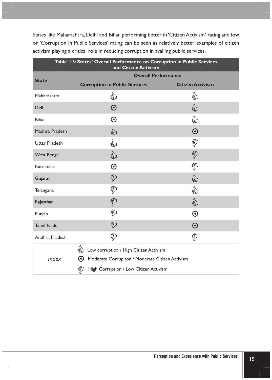States like Maharashtra, Delhi and Bihar performing better in 'Citizen Activism' rating and low on 'Corruption in Public Services' rating can be seen as relatively better examples of citizen activism playing a critical role in reducing corruption in availing public services.

| Table 13: States' Overall Performance on Corruption in Public Services<br>and Citizen Activism |                                                            |                                                                                                                                                                                                                                                                                                                                                     |  |  |  |
|------------------------------------------------------------------------------------------------|------------------------------------------------------------|-----------------------------------------------------------------------------------------------------------------------------------------------------------------------------------------------------------------------------------------------------------------------------------------------------------------------------------------------------|--|--|--|
| <b>State</b>                                                                                   | <b>Overall Performance</b>                                 |                                                                                                                                                                                                                                                                                                                                                     |  |  |  |
|                                                                                                | <b>Corruption in Public Services</b>                       | <b>Citizen Activism</b>                                                                                                                                                                                                                                                                                                                             |  |  |  |
| Maharashtra                                                                                    | ☝                                                          | $\begin{picture}(20,20) \put(0,0){\line(1,0){10}} \put(15,0){\line(1,0){10}} \put(15,0){\line(1,0){10}} \put(15,0){\line(1,0){10}} \put(15,0){\line(1,0){10}} \put(15,0){\line(1,0){10}} \put(15,0){\line(1,0){10}} \put(15,0){\line(1,0){10}} \put(15,0){\line(1,0){10}} \put(15,0){\line(1,0){10}} \put(15,0){\line(1,0){10}} \put(15,0){\line(1$ |  |  |  |
| Delhi                                                                                          | $\odot$                                                    | €                                                                                                                                                                                                                                                                                                                                                   |  |  |  |
| <b>Bihar</b>                                                                                   | $\odot$                                                    | ⇘                                                                                                                                                                                                                                                                                                                                                   |  |  |  |
| Madhya Pradesh                                                                                 | S                                                          | $\odot$                                                                                                                                                                                                                                                                                                                                             |  |  |  |
| Uttar Pradesh                                                                                  | ⇘                                                          | శ్కో                                                                                                                                                                                                                                                                                                                                                |  |  |  |
| <b>West Bengal</b>                                                                             | ♪                                                          | ඉි                                                                                                                                                                                                                                                                                                                                                  |  |  |  |
| Karnataka                                                                                      | $\odot$                                                    | శ్కో                                                                                                                                                                                                                                                                                                                                                |  |  |  |
| Gujarat                                                                                        | 履                                                          | €                                                                                                                                                                                                                                                                                                                                                   |  |  |  |
| Telangana                                                                                      | ల్గిన                                                      | ☝                                                                                                                                                                                                                                                                                                                                                   |  |  |  |
| Rajasthan                                                                                      | 骨                                                          | $\mathbb{S}$                                                                                                                                                                                                                                                                                                                                        |  |  |  |
| Punjab                                                                                         | శ్కో                                                       | $\odot$                                                                                                                                                                                                                                                                                                                                             |  |  |  |
| <b>Tamil Nadu</b>                                                                              | ą)                                                         | $\odot$                                                                                                                                                                                                                                                                                                                                             |  |  |  |
| Andhra Pradesh                                                                                 | శ్చి                                                       | శ్గిన                                                                                                                                                                                                                                                                                                                                               |  |  |  |
|                                                                                                | बै)<br>Low corruption / High Citizen Activism              |                                                                                                                                                                                                                                                                                                                                                     |  |  |  |
| Index                                                                                          | $\odot$<br>Moderate Corrupiton / Moderate Citizen Activism |                                                                                                                                                                                                                                                                                                                                                     |  |  |  |
|                                                                                                | ළි)<br>High Corruption / Low Citizen Activism              |                                                                                                                                                                                                                                                                                                                                                     |  |  |  |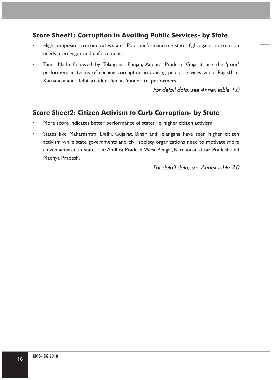#### **Score Sheet1: Corruption in Availing Public Services- by State**

- High composite score indicates state's Poor performance i.e. states fight against corruption needs more vigor and enforcement.
- Tamil Nadu followed by Telangana, Punjab, Andhra Pradesh, Gujarat are the 'poor' performers in terms of curbing corruption in availing public services while Rajasthan, Karnataka and Delhi are identified as 'moderate' performers.

For detail data, see Annex table 1.0

#### **Score Sheet2: Citizen Activism to Curb Corruption- by State**

- More score indicates better performance of states i.e. higher citizen activism
- States like Maharashtra, Delhi, Gujarat, Bihar and Telangana have seen higher citizen activism while state governments and civil society organizations need to motivate more citizen activism in states like Andhra Pradesh, West Bengal, Karnataka, Uttar Pradesh and Madhya Pradesh.

For detail data, see Annex table 2.0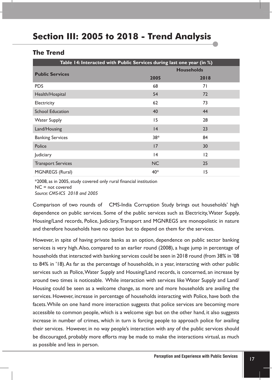#### **The Trend**

| Table 14: Interacted with Public Services during last one year (in %) |                   |      |  |
|-----------------------------------------------------------------------|-------------------|------|--|
| <b>Public Services</b>                                                | <b>Households</b> |      |  |
|                                                                       | 2005              | 2018 |  |
| <b>PDS</b>                                                            | 68                | 71   |  |
| Health/Hospital                                                       | 54                | 72   |  |
| Electricity                                                           | 62                | 73   |  |
| <b>School Education</b>                                               | 40                | 44   |  |
| <b>Water Supply</b>                                                   | 15                | 28   |  |
| Land/Housing                                                          | 4                 | 23   |  |
| <b>Banking Services</b>                                               | 38*               | 84   |  |
| Police                                                                | 17                | 30   |  |
| Judiciary                                                             | 4                 | 12   |  |
| <b>Transport Services</b>                                             | <b>NC</b>         | 25   |  |
| MGNREGS (Rural)                                                       | 40*               | 15   |  |

\*2008, as in 2005, study covered only rural financial institution NC = not covered *Source: CMS-ICS 2018 and 2005*

Comparison of two rounds of CMS-India Corruption Study brings out households' high dependence on public services. Some of the public services such as Electricity, Water Supply, Housing/Land records, Police, Judiciary, Transport and MGNREGS are monopolistic in nature and therefore households have no option but to depend on them for the services.

However, in spite of having private banks as an option, dependence on public sector banking services is very high. Also, compared to an earlier round (2008), a huge jump in percentage of households that interacted with banking services could be seen in 2018 round (from 38% in '08 to 84% in '18). As far as the percentage of households, in a year, interacting with other public services such as Police, Water Supply and Housing/Land records, is concerned, an increase by around two times is noticeable. While interaction with services like Water Supply and Land/ Housing could be seen as a welcome change, as more and more households are availing the services. However, increase in percentage of households interacting with Police, have both the facets. While on one hand more interaction suggests that police services are becoming more accessible to common people, which is a welcome sign but on the other hand, it also suggests increase in number of crimes, which in turn is forcing people to approach police for availing their services. However, in no way people's interaction with any of the public services should be discouraged, probably more efforts may be made to make the interactions virtual, as much as possible and less in person.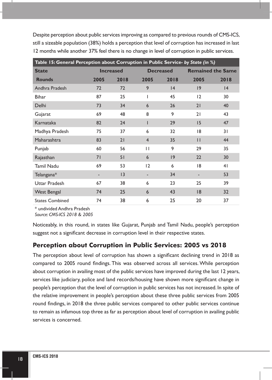Despite perception about public services improving as compared to previous rounds of CMS-ICS, still a sizeable population (38%) holds a perception that level of corruption has increased in last 12 months while another 37% feel there is no change in level of corruption in public services.

| Table 15: General Perception about Corruption in Public Service- by State (in %) |      |                  |                          |      |              |                          |
|----------------------------------------------------------------------------------|------|------------------|--------------------------|------|--------------|--------------------------|
| <b>State</b>                                                                     |      | <b>Increased</b> | <b>Decreased</b>         |      |              | <b>Remained the Same</b> |
| <b>Rounds</b>                                                                    | 2005 | 2018             | 2005                     | 2018 | 2005         | 2018                     |
| Andhra Pradesh                                                                   | 72   | 72               | 9                        | 4    | 9            | 4                        |
| <b>Bihar</b>                                                                     | 87   | 25               | T                        | 45   | 12           | 30                       |
| Delhi                                                                            | 73   | 34               | 6                        | 26   | 21           | 40                       |
| Gujarat                                                                          | 69   | 48               | 8                        | 9    | 21           | 43                       |
| Karnataka                                                                        | 82   | 24               | ı                        | 29   | 15           | 47                       |
| Madhya Pradesh                                                                   | 75   | 37               | 6                        | 32   | 18           | 31                       |
| Maharashtra                                                                      | 83   | 21               | $\overline{4}$           | 35   | $\mathsf{H}$ | 44                       |
| Punjab                                                                           | 60   | 56               | $\mathbf{H}$             | 9    | 29           | 35                       |
| Rajasthan                                                                        | 71   | 51               | 6                        | 9    | 22           | 30                       |
| <b>Tamil Nadu</b>                                                                | 69   | 53               | 12                       | 6    | 8            | 41                       |
| Telangana*                                                                       |      | 3                | $\overline{\phantom{a}}$ | 34   | -            | 53                       |
| Uttar Pradesh                                                                    | 67   | 38               | 6                        | 23   | 25           | 39                       |
| <b>West Bengal</b>                                                               | 74   | 25               | 6                        | 43   | 8            | 32                       |
| <b>States Combined</b>                                                           | 74   | 38               | 6                        | 25   | 20           | 37                       |

\* undivided Andhra Pradesh

*Source: CMS-ICS 2018 & 2005*

Noticeably, in this round, in states like Gujarat, Punjab and Tamil Nadu, people's perception suggest not a significant decrease in corruption level in their respective states.

#### **Perception about Corruption in Public Services: 2005 vs 2018**

The perception about level of corruption has shown a significant declining trend in 2018 as compared to 2005 round findings. This was observed across all services. While perception about corruption in availing most of the public services have improved during the last 12 years, services like judiciary, police and land records/housing have shown more significant change in people's perception that the level of corruption in public services has not increased. In spite of the relative improvement in people's perception about these three public services from 2005 round findings, in 2018 the three public services compared to other public services continue to remain as infamous top three as far as perception about level of corruption in availing public services is concerned.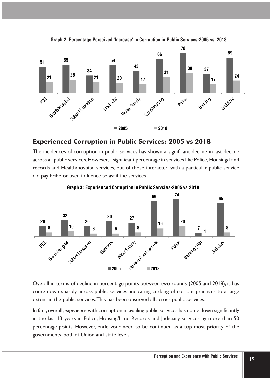**Graph 2: Percentage Perceived 'Increase' in Corruption in Graph 2: Percentage Perceived 'Increase' in Corruption in Public Services-2005 vs 2018**



## **Experienced Corruption in Public Services: 2005 vs 2018**

services. While perception about corruption in availing most of the public across all public services. However, a significant percentage in services like Police, Housing/Land to avail the services. did pay bribe or used influence to avail the services. The incidences of corruption in public services has shown a significant decline in last decade records and Health/hospital services, out of those interacted with a particular public service



**Graph 3: Experienced Corruption in Public Servcies-2005 vs 2018**

Overall in terms of decline in percentage points between two rounds (2005 and 2018), it has extent in the public services.This has been observed all across public services. Overall in terms of decline in percentage points between two rounds (2005 come down sharply across public services, indicating curbing of corrupt practices to a large

percentage points. However, endeavour need to be continued as a top most priority of the and 2018), it has come down sharply across public services, indicating curbing governments, both at Union and state levels.<br>. In fact, overall, *experience* with corruption in availing public services has come down significantly in the last 13 years in Police, Housing/Land Records and Judiciary services by more than 50

30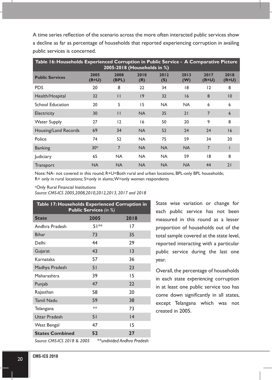A time series reflection of the scenario across the more often interacted public services show a decline as far as percentage of households that reported experiencing corruption in availing public services is concerned.

| Table 16: Households Experienced Corruption in Public Service - A Comparative Picture<br>2005-2018 (Households in %) |                 |                |             |             |             |                 |                 |
|----------------------------------------------------------------------------------------------------------------------|-----------------|----------------|-------------|-------------|-------------|-----------------|-----------------|
| <b>Public Services</b>                                                                                               | 2005<br>$(R+U)$ | 2008<br>(BPL)  | 2010<br>(R) | 2012<br>(S) | 2013<br>(W) | 2017<br>$(R+U)$ | 2018<br>$(R+U)$ |
| <b>PDS</b>                                                                                                           | 20              | 8              | 22          | 34          | 18          | 12              | 8               |
| Health/Hospital                                                                                                      | 32              | $\mathbf{H}$   | $ 9\rangle$ | 32          | 16          | 8               | $\overline{10}$ |
| School Education                                                                                                     | 20              | 5              | 15          | <b>NA</b>   | <b>NA</b>   | 6               | 6               |
| Electricity                                                                                                          | 30              | $\mathsf{H}$   | <b>NA</b>   | 35          | 21          | $\overline{7}$  | 6               |
| <b>Water Supply</b>                                                                                                  | 27              | 12             | 16          | 50          | 20          | 9               | 8               |
| Housing/Land Records                                                                                                 | 69              | 34             | <b>NA</b>   | 52          | 24          | 24              | 16              |
| Police                                                                                                               | 74              | 52             | <b>NA</b>   | 75          | 59          | 34              | 20              |
| <b>Banking</b>                                                                                                       | $30*$           | $\overline{7}$ | <b>NA</b>   | <b>NA</b>   | <b>NA</b>   | $\overline{7}$  | ı               |
| Judiciary                                                                                                            | 65              | <b>NA</b>      | <b>NA</b>   | <b>NA</b>   | 59          | 18              | 8               |
| Transport                                                                                                            | <b>NA</b>       | <b>NA</b>      | <b>NA</b>   | <b>NA</b>   | <b>NA</b>   | 44              | 21              |

Note: NA- not covered in this round; R+U=Both rural and urban locations, BPL-only BPL households; R= only in rural locations; S=only in slums; W=only women respondents

#### \*Only Rural Financial Institutions

*Source: CMS-ICS 2005,2008,2010,2012,2013, 2017 and 2018*

| Table 17: Households Experienced Corruption in<br><b>Public Services (in %)</b> |                            |                 |  |  |
|---------------------------------------------------------------------------------|----------------------------|-----------------|--|--|
| <b>State</b>                                                                    | 2005                       | 2018            |  |  |
| Andhra Pradesh                                                                  | $51**$                     | 17              |  |  |
| <b>Bihar</b>                                                                    | 73                         | 35              |  |  |
| Delhi                                                                           | 44                         | 29              |  |  |
| Gujarat                                                                         | 43                         | $\overline{13}$ |  |  |
| Karnataka                                                                       | 57                         | 36              |  |  |
| Madhya Pradesh                                                                  | 51                         | 23              |  |  |
| Maharashtra                                                                     | 39                         | 15              |  |  |
| Punjab                                                                          | 47                         | 22              |  |  |
| Rajasthan                                                                       | 58                         | 20              |  |  |
| <b>Tamil Nadu</b>                                                               | 59                         | 38              |  |  |
| Telangana                                                                       | $**$                       | 73              |  |  |
| <b>Uttar Pradesh</b>                                                            | 51                         | 4               |  |  |
| West Bengal                                                                     | 47                         | 15              |  |  |
| <b>States Combined</b>                                                          | 52                         | 27              |  |  |
| Source: CMS-ICS 2018 & 2005                                                     | **undivided Andhra Pradesh |                 |  |  |

State wise variation or change for each public service has not been measured in this round as a lesser proportion of households out of the total sample covered at the state level, reported interacting with a particular public service during the last one year.

Overall, the percentage of households in each state *experiencing* corruption in at least one public service too has come down significantly in all states, except Telangana which was not created in 2005.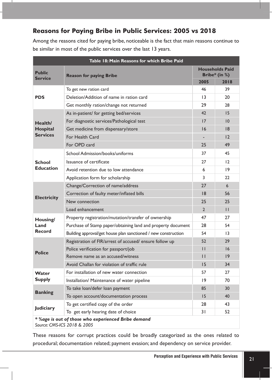#### **Reasons for Paying Bribe in Public Services: 2005 vs 2018**

Among the reasons cited for paying bribe, noticeable is the fact that main reasons continue to be similar in most of the public services over the last 13 years.

| Table 18: Main Reasons for which Bribe Paid                          |                                                                                    |                |                                         |  |
|----------------------------------------------------------------------|------------------------------------------------------------------------------------|----------------|-----------------------------------------|--|
| <b>Public</b><br><b>Service</b>                                      | <b>Reason for paying Bribe</b>                                                     |                | <b>Households Paid</b><br>Bribe* (in %) |  |
|                                                                      |                                                                                    | 2005           | 2018                                    |  |
|                                                                      | To get new ration card                                                             | 46             | 39                                      |  |
| <b>PDS</b>                                                           | Deletion/Addition of name in ration card                                           | 13             | 20                                      |  |
|                                                                      | Get monthly ration/change not returned                                             | 29             | 28                                      |  |
|                                                                      | As in-patient/ for getting bed/services                                            | 42             | 15                                      |  |
| Health/                                                              | For diagnostic services/Pathological test                                          |                |                                         |  |
| Hospital                                                             | Get medicine from dispensary/store                                                 | 16             | 8                                       |  |
| <b>Services</b>                                                      | For Health Card                                                                    |                | 12                                      |  |
|                                                                      | For OPD card                                                                       | 25             | 49                                      |  |
|                                                                      | School Admission/books/uniforms                                                    | 37             | 45                                      |  |
| School                                                               | Issuance of certificate                                                            | 27             | 12                                      |  |
| <b>Education</b>                                                     | Avoid retention due to low attendance                                              | 6              | $ 9\rangle$                             |  |
|                                                                      | Application form for scholarship                                                   | 3              | 22                                      |  |
|                                                                      | Change/Correction of name/address                                                  | 27             | 6                                       |  |
|                                                                      | Correction of faulty meter/inflated bills                                          | 18             | 56                                      |  |
| <b>Electricity</b>                                                   | New connection                                                                     | 25             | 25                                      |  |
|                                                                      | Load enhancement                                                                   | $\overline{2}$ | $\mathbf{H}$                            |  |
| Housing/                                                             | Property registration/mutation/transfer of ownership                               | 47             | 27                                      |  |
| Land<br>Purchase of Stamp paper/obtaining land and property document |                                                                                    | 28             | 54                                      |  |
| Record                                                               | Building approval/get house plan sanctioned / new construction                     | 54             | $\overline{13}$                         |  |
|                                                                      | Registration of FIR/arrest of accused/ ensure follow up                            | 52             | 29                                      |  |
| <b>Police</b>                                                        | Police verification for passport/job                                               | $\mathsf{I}$   | 16                                      |  |
|                                                                      | Remove name as an accused/witness                                                  | $\mathsf{I}$   | 9                                       |  |
|                                                                      | Avoid Challan for violation of traffic rule                                        | 15             | 34                                      |  |
| Water                                                                | For installation of new water connection                                           | 57             | 27                                      |  |
| <b>Supply</b>                                                        | Installation/ Maintenance of water pipeline                                        | 9              | 70                                      |  |
|                                                                      | To take loan/defer loan payment                                                    | 85             | 30                                      |  |
| <b>Banking</b>                                                       | To open account/documentation process                                              | 15             | 40                                      |  |
|                                                                      | To get certified copy of the order                                                 | 28             | 43                                      |  |
| <b>Judiciary</b>                                                     | To get early hearing date of choice                                                | 31             | 52                                      |  |
|                                                                      | * %age is out of those who experienced Bribe demand<br>Source: CMS-ICS 2018 & 2005 |                |                                         |  |

These reasons for corrupt practices could be broadly categorized as the ones related to procedural; documentation related; payment evasion; and dependency on service provider.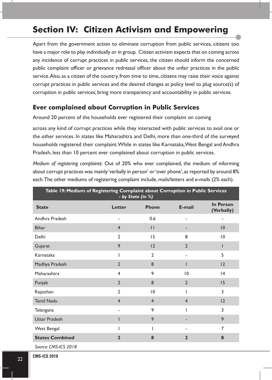## **Section IV: Citizen Activism and Empowering**

Apart from the government action to eliminate corruption from public services, citizens too have a major role to play individually or in group. Citizen activism expects that on coming across any incidence of corrupt practices in public services, the citizen should inform the concerned public complaint officer or grievance redressal officer about the unfair practices in the public service. Also, as a citizen of the country, from time to time, citizens may raise their voice against corrupt practices in public services and the desired changes at policy level to plug source(s) of corruption in public services; bring more transparency and accountability in public services.

#### **Ever complained about Corruption in Public Services**

Around 20 percent of the households ever registered their complaint on coming

across any kind of corrupt practices while they interacted with public services to avail one or the other services. In states like Maharashtra and Delhi, more than one-third of the surveyed households registered their complaint. While in states like Karnataka, West Bengal and Andhra Pradesh, less than 10 percent ever complained about corruption in public services.

*Medium of registering complaints:* Out of 20% who ever complained, the medium of informing about corrupt practices was mainly 'verbally in person' or 'over phone', as reported by around 8% each. The other mediums of registering complaint include, mails/letters and e-mails (2% each).

| Table 19: Medium of Registering Complaint about Corruption in Public Services<br>- by State (in %) |                |                |                          |                                |
|----------------------------------------------------------------------------------------------------|----------------|----------------|--------------------------|--------------------------------|
| <b>State</b>                                                                                       | Letter         | <b>Phone</b>   | E-mail                   | <b>In Person</b><br>(Verbally) |
| Andhra Pradesh                                                                                     | -              | 0.6            | $\overline{\phantom{a}}$ | $\overline{\phantom{a}}$       |
| <b>Bihar</b>                                                                                       | $\overline{4}$ | $\mathbf{H}$   |                          | 10                             |
| Delhi                                                                                              | $\overline{2}$ | 15             | 8                        | 10                             |
| Gujarat                                                                                            | 9              | 12             | $\overline{2}$           | ı                              |
| Karnataka                                                                                          |                | $\overline{2}$ |                          | 5                              |
| Madhya Pradesh                                                                                     | $\overline{2}$ | 8              |                          | 12                             |
| Maharashtra                                                                                        | 4              | 9              | 10                       | 4                              |
| Punjab                                                                                             | $\overline{2}$ | 8              | $\overline{2}$           | 15                             |
| Rajasthan                                                                                          | $\overline{2}$ | 10             | ı                        | 3                              |
| <b>Tamil Nadu</b>                                                                                  | $\overline{4}$ | $\overline{4}$ | $\overline{4}$           | 12                             |
| Telangana                                                                                          |                | 9              | ı                        | 3                              |
| <b>Uttar Pradesh</b>                                                                               | ı              | 9              |                          | 9                              |
| West Bengal                                                                                        |                |                |                          | $\overline{7}$                 |
| <b>States Combined</b>                                                                             | $\overline{2}$ | 8              | $\overline{2}$           | 8                              |
| Source: CMS-ICS 2018                                                                               |                |                |                          |                                |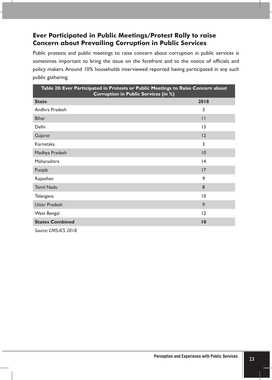#### **Ever Participated in Public Meetings/Protest Rally to raise Concern about Prevailing Corruption in Public Services**

Public protests and public meetings to raise concern about corruption in public services is sometimes important to bring the issue on the forefront and to the notice of officials and policy makers. Around 10% households interviewed reported having participated in any such public gathering.

| Table 20: Ever Participated in Protests or Public Meetings to Raise Concern about<br><b>Corruption in Public Services (in %)</b> |              |  |  |
|----------------------------------------------------------------------------------------------------------------------------------|--------------|--|--|
| <b>State</b>                                                                                                                     | 2018         |  |  |
| Andhra Pradesh                                                                                                                   | 3            |  |  |
| <b>Bihar</b>                                                                                                                     | $\mathbf{H}$ |  |  |
| Delhi                                                                                                                            | 3            |  |  |
| Gujarat                                                                                                                          | 12           |  |  |
| Karnataka                                                                                                                        | 3            |  |  |
| Madhya Pradesh                                                                                                                   | 10           |  |  |
| Maharashtra                                                                                                                      | 4            |  |  |
| Punjab                                                                                                                           | 17           |  |  |
| Rajasthan                                                                                                                        | 9            |  |  |
| <b>Tamil Nadu</b>                                                                                                                | 8            |  |  |
| Telangana                                                                                                                        | 10           |  |  |
| <b>Uttar Pradesh</b>                                                                                                             | 9            |  |  |
| West Bengal                                                                                                                      | 12           |  |  |
| <b>States Combined</b>                                                                                                           | 10           |  |  |

*Source: CMS-ICS 2018*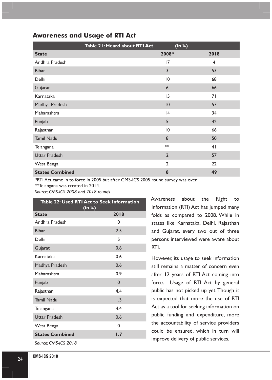|                        | Table 21: Heard about RTI Act | (in %)          |                         |
|------------------------|-------------------------------|-----------------|-------------------------|
| <b>State</b>           |                               | 2008*           | 2018                    |
| Andhra Pradesh         |                               | 17              | $\overline{\mathbf{4}}$ |
| <b>Bihar</b>           |                               | 3               | 53                      |
| Delhi                  |                               | $\overline{0}$  | 68                      |
| Gujarat                |                               | 6               | 66                      |
| Karnataka              |                               | 15              | 71                      |
| Madhya Pradesh         |                               | 10              | 57                      |
| Maharashtra            |                               | 4               | 34                      |
| Punjab                 |                               | 5               | 42                      |
| Rajasthan              |                               | $\overline{10}$ | 66                      |
| <b>Tamil Nadu</b>      |                               | 8               | 50                      |
| Telangana              |                               | $**$            | 41                      |
| <b>Uttar Pradesh</b>   |                               | $\overline{2}$  | 57                      |
| <b>West Bengal</b>     |                               | $\overline{2}$  | 22                      |
| <b>States Combined</b> |                               | 8               | 49                      |

#### **Awareness and Usage of RTI Act**

\*RTI Act came in to force in 2005 but after CMS-ICS 2005 round survey was over.

\*\*Telangana was created in 2014.

*Source: CMS-ICS 2008 and 2018 rounds*

| Table 22: Used RTI Act to Seek Information<br>(in %) |          |  |  |  |
|------------------------------------------------------|----------|--|--|--|
| <b>State</b>                                         | 2018     |  |  |  |
| Andhra Pradesh                                       | 0        |  |  |  |
| <b>Bihar</b>                                         | 2.5      |  |  |  |
| Delhi                                                | 5        |  |  |  |
| Gujarat                                              | 0.6      |  |  |  |
| Karnataka                                            | 0.6      |  |  |  |
| Madhya Pradesh                                       | 0.6      |  |  |  |
| Maharashtra                                          | 0.9      |  |  |  |
| Punjab                                               | $\Omega$ |  |  |  |
| Rajasthan                                            | 4.4      |  |  |  |
| <b>Tamil Nadu</b>                                    | 1.3      |  |  |  |
| Telangana                                            | 4.4      |  |  |  |
| <b>Uttar Pradesh</b>                                 | 0.6      |  |  |  |
| <b>West Bengal</b>                                   | 0        |  |  |  |
| <b>States Combined</b>                               | 1.7      |  |  |  |
| Source: CMS-ICS 2018                                 |          |  |  |  |

Awareness about the Right to Information (RTI) Act has jumped many folds as compared to 2008. While in states like Karnataka, Delhi, Rajasthan and Gujarat, every two out of three persons interviewed were aware about RTI.

However, its usage to seek information still remains a matter of concern even after 12 years of RTI Act coming into force. Usage of RTI Act by general public has not picked up yet. Though it is expected that more the use of RTI Act as a tool for seeking information on public funding and expenditure, more the accountability of service providers could be ensured, which in turn will improve delivery of public services.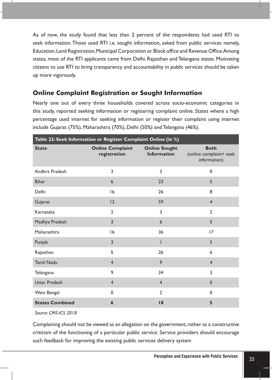As of now, the study found that less than 2 percent of the respondents had used RTI to seek information. Those used RTI i.e. sought information, asked from public services namely, Education, Land Registration, Municipal Corporation or Block office and Revenue Office. Among states, most of the RTI applicants came from Delhi, Rajasthan and Telangana states. Motivating citizens to use RTI to bring transparency and accountability in public services should be taken up more vigorously.

#### **Online Complaint Registration or Sought Information**

Nearly one out of every three households covered across socio-economic categories in this study, reported seeking information or registering complaint online. States where a high percentage used internet for seeking information or register their complaint using internet include Gujarat (75%), Maharashtra (70%), Delhi (50%) and Telangana (46%).

| Table 23: Seek Information or Register Complaint Online (in %) |                                         |                                            |                                                        |
|----------------------------------------------------------------|-----------------------------------------|--------------------------------------------|--------------------------------------------------------|
| <b>State</b>                                                   | <b>Online Complaint</b><br>registration | <b>Online Sought</b><br><b>Information</b> | <b>Both</b><br>(online complaint+ seek<br>information) |
| Andhra Pradesh                                                 | 3                                       | 3                                          | 0                                                      |
| <b>Bihar</b>                                                   | 6                                       | 23                                         | 5                                                      |
| Delhi                                                          | 16                                      | 26                                         | 8                                                      |
| Gujarat                                                        | 12                                      | 59                                         | $\overline{4}$                                         |
| Karnataka                                                      | $\overline{2}$                          | 3                                          | $\overline{2}$                                         |
| Madhya Pradesh                                                 | 3                                       | 6                                          | 5                                                      |
| Maharashtra                                                    | 16                                      | 36                                         | 17                                                     |
| Punjab                                                         | $\overline{3}$                          | T                                          | 5                                                      |
| Rajasthan                                                      | 5                                       | 26                                         | 6                                                      |
| <b>Tamil Nadu</b>                                              | $\overline{4}$                          | 9                                          | $\overline{4}$                                         |
| Telangana                                                      | 9                                       | 34                                         | 3                                                      |
| Uttar Pradesh                                                  | $\overline{4}$                          | $\overline{4}$                             | $\mathbf{0}$                                           |
| West Bengal                                                    | $\mathbf 0$                             | $\overline{2}$                             | 0                                                      |
| <b>States Combined</b>                                         | 6                                       | 18                                         | 5                                                      |

*Source: CMS-ICS 2018* 

Complaining should not be viewed as an allegation on the government, rather as a constructive criticism of the functioning of a particular public service. Service providers should encourage such feedback for improving the existing public services delivery system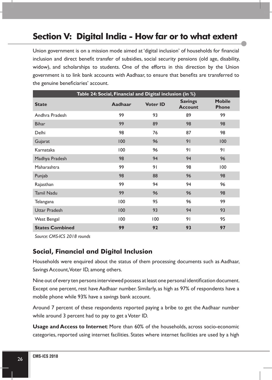## **Section V: Digital India - How far or to what extent**

Union government is on a mission mode aimed at 'digital inclusion' of households for financial inclusion and direct benefit transfer of subsidies, social security pensions (old age, disability, widow), and scholarships to students. One of the efforts in this direction by the Union government is to link bank accounts with Aadhaar, to ensure that benefits are transferred to the genuine beneficiaries' account.

|                        |         | Table 24: Social, Financial and Digital inclusion (in %) |                                  |                               |
|------------------------|---------|----------------------------------------------------------|----------------------------------|-------------------------------|
| <b>State</b>           | Aadhaar | <b>Voter ID</b>                                          | <b>Savings</b><br><b>Account</b> | <b>Mobile</b><br><b>Phone</b> |
| Andhra Pradesh         | 99      | 93                                                       | 89                               | 99                            |
| <b>Bihar</b>           | 99      | 89                                                       | 98                               | 98                            |
| Delhi                  | 98      | 76                                                       | 87                               | 98                            |
| Gujarat                | 100     | 96                                                       | 91                               | 100                           |
| Karnataka              | 100     | 96                                                       | 91                               | 91                            |
| Madhya Pradesh         | 98      | 94                                                       | 94                               | 96                            |
| Maharashtra            | 99      | 91                                                       | 98                               | 100                           |
| Punjab                 | 98      | 88                                                       | 96                               | 98                            |
| Rajasthan              | 99      | 94                                                       | 94                               | 96                            |
| <b>Tamil Nadu</b>      | 99      | 96                                                       | 96                               | 98                            |
| Telangana              | 100     | 95                                                       | 96                               | 99                            |
| <b>Uttar Pradesh</b>   | 100     | 93                                                       | 94                               | 93                            |
| West Bengal            | 100     | 100                                                      | 91                               | 95                            |
| <b>States Combined</b> | 99      | 92                                                       | 93                               | 97                            |

*Source: CMS-ICS 2018 rounds*

#### **Social, Financial and Digital Inclusion**

Households were enquired about the status of them processing documents such as Aadhaar, Savings Account, Voter ID, among others.

Nine out of every ten persons interviewed possess at least one personal identification document. Except one percent, rest have Aadhaar number. Similarly, as high as 97% of respondents have a mobile phone while 93% have a savings bank account.

Around 7 percent of these respondents reported paying a bribe to get the Aadhaar number while around 3 percent had to pay to get a Voter ID.

**Usage and Access to Internet**: More than 60% of the households, across socio-economic categories, reported using internet facilities. States where internet facilities are used by a high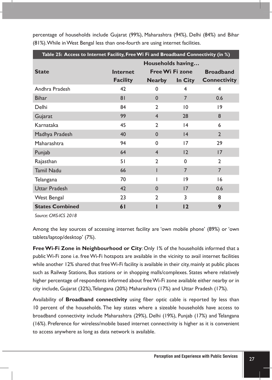|                        | Table 25: Access to Internet Facility, Free Wi Fi and Broadband Connectivity (in %)<br>Households having |                        |                |                     |  |  |  |  |  |  |  |  |  |
|------------------------|----------------------------------------------------------------------------------------------------------|------------------------|----------------|---------------------|--|--|--|--|--|--|--|--|--|
|                        |                                                                                                          |                        |                |                     |  |  |  |  |  |  |  |  |  |
| <b>State</b>           | <b>Internet</b>                                                                                          | <b>Free Wi Fi zone</b> |                | <b>Broadband</b>    |  |  |  |  |  |  |  |  |  |
|                        | <b>Facility</b>                                                                                          | <b>Nearby</b>          | In City        | <b>Connectivity</b> |  |  |  |  |  |  |  |  |  |
| Andhra Pradesh         | 42                                                                                                       | 0                      | 4              | 4                   |  |  |  |  |  |  |  |  |  |
| <b>Bihar</b>           | 81                                                                                                       | $\mathbf{0}$           | $\overline{7}$ | 0.6                 |  |  |  |  |  |  |  |  |  |
| Delhi                  | 84                                                                                                       | $\overline{2}$         | 10             | 9                   |  |  |  |  |  |  |  |  |  |
| Gujarat                | 99                                                                                                       | $\overline{4}$         | 28             | 8                   |  |  |  |  |  |  |  |  |  |
| Karnataka              | 45                                                                                                       | $\overline{2}$         | 4              | 6                   |  |  |  |  |  |  |  |  |  |
| Madhya Pradesh         | 40                                                                                                       | $\Omega$               | 4              | $\overline{2}$      |  |  |  |  |  |  |  |  |  |
| Maharashtra            | 94                                                                                                       | $\Omega$               | 17             | 29                  |  |  |  |  |  |  |  |  |  |
| Punjab                 | 64                                                                                                       | $\overline{4}$         | 12             | 17                  |  |  |  |  |  |  |  |  |  |
| Rajasthan              | 51                                                                                                       | $\overline{2}$         | 0              | $\overline{2}$      |  |  |  |  |  |  |  |  |  |
| <b>Tamil Nadu</b>      | 66                                                                                                       |                        | $\overline{7}$ | $\overline{7}$      |  |  |  |  |  |  |  |  |  |
| Telangana              | 70                                                                                                       |                        | 19             | 16                  |  |  |  |  |  |  |  |  |  |
| Uttar Pradesh          | 42                                                                                                       | $\Omega$               | 17             | 0.6                 |  |  |  |  |  |  |  |  |  |
| West Bengal            | 23                                                                                                       | $\overline{2}$         | 3              | 8                   |  |  |  |  |  |  |  |  |  |
| <b>States Combined</b> | 61                                                                                                       |                        | $\overline{2}$ | 9                   |  |  |  |  |  |  |  |  |  |

percentage of households include Gujarat (99%), Maharashtra (94%), Delhi (84%) and Bihar (81%). While in West Bengal less than one-fourth are using internet facilities.

*Source: CMS-ICS 2018* 

Among the key sources of accessing internet facility are 'own mobile phone' (89%) or 'own tablets/laptop/desktop' (7%).

**Free Wi-Fi Zone in Neighbourhood or City**: Only 1% of the households informed that a public Wi-Fi zone i.e. free Wi-Fi hotspots are available in the vicinity to avail internet facilities while another 12% shared that free Wi-Fi facility is available in their city, mainly at public places such as Railway Stations, Bus stations or in shopping malls/complexes. States where relatively higher percentage of respondents informed about free Wi-Fi zone available either nearby or in city include, Gujarat (32%), Telangana (20%) Maharashtra (17%) and Uttar Pradesh (17%).

Availability of **Broadband connectivity** using fiber optic cable is reported by less than 10 percent of the households. The key states where a sizeable households have access to broadband connectivity include Maharashtra (29%), Delhi (19%), Punjab (17%) and Telangana (16%). Preference for wireless/mobile based internet connectivity is higher as it is convenient to access anywhere as long as data network is available.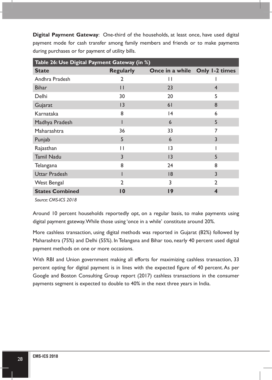**Digital Payment Gateway**: One-third of the households, at least once, have used digital payment mode for cash transfer among family members and friends or to make payments during purchases or for payment of utility bills.

| Table 26: Use Digital Payment Gateway (in %) |                  |                                |                |
|----------------------------------------------|------------------|--------------------------------|----------------|
| <b>State</b>                                 | <b>Regularly</b> | Once in a while Only 1-2 times |                |
| Andhra Pradesh                               | 2                | П                              |                |
| <b>Bihar</b>                                 | $\mathsf{I}$     | 23                             | $\overline{4}$ |
| Delhi                                        | 30               | 20                             | 5              |
| Gujarat                                      | $\overline{13}$  | 61                             | 8              |
| Karnataka                                    | 8                | 4                              | 6              |
| Madhya Pradesh                               | ı                | 6                              | 5              |
| Maharashtra                                  | 36               | 33                             | 7              |
| Punjab                                       | 5                | 6                              | 3              |
| Rajasthan                                    | П                | 13                             |                |
| <b>Tamil Nadu</b>                            | 3                | 3                              | 5              |
| Telangana                                    | 8                | 24                             | 8              |
| <b>Uttar Pradesh</b>                         |                  | 18                             | 3              |
| West Bengal                                  | $\overline{2}$   | 3                              | $\mathfrak{p}$ |
| <b>States Combined</b>                       | $\overline{10}$  | 19                             | 4              |

*Source: CMS-ICS 2018* 

Around 10 percent households reportedly opt, on a regular basis, to make payments using digital payment gateway. While those using 'once in a while' constitute around 20%.

More cashless transaction, using digital methods was reported in Gujarat (82%) followed by Maharashtra (75%) and Delhi (55%). In Telangana and Bihar too, nearly 40 percent used digital payment methods on one or more occasions.

With RBI and Union government making all efforts for maximizing cashless transaction, 33 percent opting for digital payment is in lines with the expected figure of 40 percent. As per Google and Boston Consulting Group report (2017) cashless transactions in the consumer payments segment is expected to double to 40% in the next three years in India.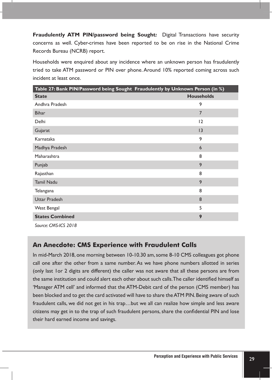**Fraudulently ATM PIN/password being Sought***:* Digital Transactions have security concerns as well. Cyber-crimes have been reported to be on rise in the National Crime Records Bureau (NCRB) report.

Households were enquired about any incidence where an unknown person has fraudulently tried to take ATM password or PIN over phone. Around 10% reported coming across such incident at least once.

| Table 27: Bank PIN/Password being Sought Fraudulently by Unknown Person (in %) |                   |
|--------------------------------------------------------------------------------|-------------------|
| <b>State</b>                                                                   | <b>Households</b> |
| Andhra Pradesh                                                                 | 9                 |
| <b>Bihar</b>                                                                   | $\overline{7}$    |
| Delhi                                                                          | 12                |
| Gujarat                                                                        | 13                |
| Karnataka                                                                      | 9                 |
| Madhya Pradesh                                                                 | 6                 |
| Maharashtra                                                                    | 8                 |
| Punjab                                                                         | 9                 |
| Rajasthan                                                                      | 8                 |
| <b>Tamil Nadu</b>                                                              | 9                 |
| Telangana                                                                      | 8                 |
| <b>Uttar Pradesh</b>                                                           | 8                 |
| West Bengal                                                                    | 5                 |
| <b>States Combined</b>                                                         | 9                 |
| $\sim$ $\sim$ $\sim$ $\sim$ $\sim$ $\sim$ $\sim$ $\sim$                        |                   |

*Source: CMS-ICS 2018* 

#### **An Anecdote: CMS Experience with Fraudulent Calls**

In mid-March 2018, one morning between 10-10.30 am, some 8-10 CMS colleagues got phone call one after the other from a same number. As we have phone numbers allotted in series (only last 1or 2 digits are different) the caller was not aware that all these persons are from the same institution and could alert each other about such calls. The caller identified himself as 'Manager ATM cell' and informed that the ATM-Debit card of the person (CMS member) has been blocked and to get the card activated will have to share the ATM PIN. Being aware of such fraudulent calls, we did not get in his trap…but we all can realize how simple and less aware citizens may get in to the trap of such fraudulent persons, share the confidential PIN and lose their hard earned income and savings.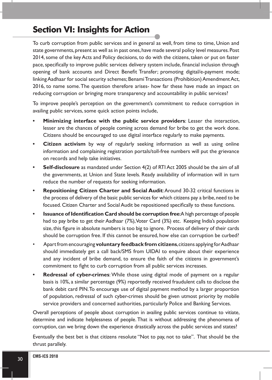## **Section VI: Insights for Action**

To curb corruption from public services and in general as well, from time to time, Union and state governments, present as well as in past ones, have made several policy level measures. Post 2014, some of the key Acts and Policy decisions, to do with the citizens, taken or put on faster pace, specifically to improve public services delivery system include, financial inclusion through opening of bank accounts and Direct Benefit Transfer; promoting digital/e-payment mode; linking Aadhaar for social security schemes; Benami Transactions (Prohibition) Amendment Act, 2016, to name some. The question therefore arises- how far these have made an impact on reducing corruption or bringing more transparency and accountability in public services?

To improve people's perception on the government's commitment to reduce corruption in availing public services, some quick action points include,

- **• Minimizing interface with the public service providers**: Lesser the interaction, lesser are the chances of people coming across demand for bribe to get the work done. Citizens should be encouraged to use digital interface regularly to make payments.
- **Citizen activism** by way of regularly seeking information as well as using online information and complaining registration portals/toll-free numbers will put the grievance on records and help take initiatives.
- **• Self-disclosure** as mandated under Section 4(2) of RTI Act 2005 should be the aim of all the governments, at Union and State levels. Ready availability of information will in turn reduce the number of requests for seeking information.
- **Repositioning Citizen Charter and Social Audit: Around 30-32 critical functions in** the process of delivery of the basic public services for which citizens pay a bribe, need to be focused. Citizen Charter and Social Audit be repositioned specifically to these functions.
- **• Issuance of Identification Card should be corruption free**: A high percentage of people had to pay bribe to get their Aadhaar (7%), Voter Card (3%) etc. Keeping India's population size, this figure in absolute numbers is too big to ignore. Process of delivery of their cards should be corruption free. If this cannot be ensured, how else can corruption be curbed?
- Apart from encouraging **voluntary feedback from citizens**, citizens applying for Aadhaar should immediately get a call back/SMS from UIDAI to enquire about their experience and any incident of bribe demand, to ensure the faith of the citizens in government's commitment to fight to curb corruption from all public services increases.
- **Redressal of cyber-crimes:** While those using digital mode of payment on a regular basis is 10%, a similar percentage (9%) reportedly received fraudulent calls to disclose the bank debit card PIN. To encourage use of digital payment method by a larger proportion of population, redressal of such cyber-crimes should be given utmost priority by mobile service providers and concerned authorities, particularly Police and Banking Services.

Overall perceptions of people about corruption in availing public services continue to vitiate, determine and indicate helplessness of people. That is without addressing the phenomena of corruption, can we bring down the experience drastically across the public services and states?

Eventually the best bet is that citizens resolute "Not to pay, not to take". That should be the thrust parallely.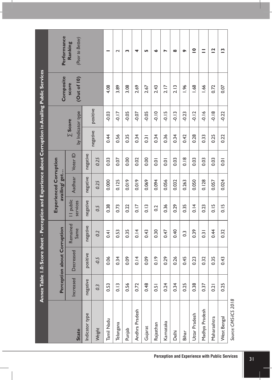|                      |                                 |                           |                  |                      |                                                |                    |                                     |             | Annex Table 1.0: Score sheet - Perception and Experience about Corruption in Availing Public Services |                             |
|----------------------|---------------------------------|---------------------------|------------------|----------------------|------------------------------------------------|--------------------|-------------------------------------|-------------|-------------------------------------------------------------------------------------------------------|-----------------------------|
|                      | <b>Pe</b>                       | rception about Corruption |                  |                      | <b>Experienced Corruption</b><br>availing/ get |                    |                                     |             | Composite                                                                                             | <b>Performance</b>          |
| <b>State</b>         | Increased                       | Decreased                 | Remained<br>Same | I public<br>services | Aadhaar                                        | Voter ID           | by Indicator type<br>$\Sigma$ Score |             | (Out of 10)<br>score                                                                                  | (Poor to Better)<br>Ranking |
| Indicator type       | negative                        | positive                  | negative         | negative             | negative                                       | negative           |                                     |             |                                                                                                       |                             |
| Weight               | $\ddot{\phantom{0}}$<br>$\circ$ | $-0.5$                    | 0.2              | 0.5                  | 0.25                                           | 0.25               | negative                            | positive    |                                                                                                       |                             |
| Tamil Nadu           | 0.53                            | 0.06                      | $-6.41$          | 0.38                 | 0.000                                          | 0.03               | 0.44                                | $-0.03$     | 4.08                                                                                                  |                             |
| Telangana            | 0.13                            | 0.34                      | 0.53             | 0.73                 | 0.125                                          | 0.07               | 0.56                                | $-0.17$     | 3.89                                                                                                  | $\sim$                      |
| Punjab               | 0.56                            | 0.09                      | 0.35             | 0.22                 | 0.019                                          | 0.00               | 0.35                                | $-0.05$     | 3.08                                                                                                  | w                           |
| Andhra Pradesh       | 0.72                            | 0.14                      | 0.14             | 0.17                 | 0.019                                          | 0.02               | 0.34                                | $-0.07$     | 2.69                                                                                                  | 4                           |
| Gujarat              | 0.48                            | 0.09                      | 0.43             | $\frac{1}{2}$        | 0.069                                          | 0.00               | $\overline{0.3}$                    | $-0.05$     | 2.67                                                                                                  | LO <sub>1</sub>             |
| Rajasthan            | 0.51                            | 0.19                      | 0.30             | $\overline{0}$       | 0.094                                          | $\overline{0}$ .01 | 0.34                                | $-0.10$     | 2.43                                                                                                  | ╺                           |
| Karnataka            | 0.24                            | 0.29                      | 0.47             | 0.36                 | 0.056                                          | $\overline{0}$ .01 | 0.36                                | $-0.15$     | 2.17                                                                                                  | ►                           |
| Delhi                | 0.34                            | 0.26                      | 0.40             | 0.29                 | 0.032                                          | 0.03               | 0.34                                | $-0.13$     | 2.13                                                                                                  | $\infty$                    |
| Bihar                | 0.25                            | 0.45                      | $\ddot{\rm o}$   | 0.35                 | 0.263                                          | $\frac{8}{10}$     | 0.42                                | $-0.23$     | $-96$                                                                                                 | ᡐ                           |
| Uttar Pradesh        | 0.38                            | 0.23                      | 0.39             | 0.14                 | 0.050                                          | 0.03               | 0.28                                | $-0.12$     | $\frac{89}{1}$                                                                                        | $\subseteq$                 |
| Madhya Pradesh       | 0.37                            | 0.32                      | 0.31             | 0.23                 | 0.128                                          | 0.03               | 0.33                                | $-0.16$     | .66                                                                                                   | Ξ                           |
| Maharashtra          | 0.21                            | 0.35                      | 0.44             | 0.15                 | 0.057                                          | 0.03               | 0.25                                | $rac{8}{2}$ | 0.72                                                                                                  | $\overline{a}$              |
| West Bengal          | 0.25                            | 0.43                      | 0.32             | 0.15                 | 0.024                                          | $\overline{0}$ .01 | 0.22                                | $-0.22$     | 0.07                                                                                                  | $\tilde{ }$                 |
| Source: CMS-ICS 2018 |                                 |                           |                  |                      |                                                |                    |                                     |             |                                                                                                       |                             |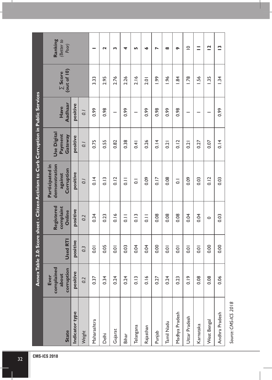| IIのDPP ニュミラミ         | p<br>S | š | 2<br>2<br>2 |
|----------------------|--------|---|-------------|
| Source: CMS-ICS 2018 |        |   |             |

|    |                                                                                       | Ranking<br>Better to<br>Poor)                             |                |                  |                  | $\overline{\mathbf{r}}$ | S                  | 4             | LO <sub>1</sub> | $\bullet$     | ∼             | $\infty$   | $\bullet$         | $\supseteq$        | Ξ         | $\overline{a}$ | $\tilde{ }$    |
|----|---------------------------------------------------------------------------------------|-----------------------------------------------------------|----------------|------------------|------------------|-------------------------|--------------------|---------------|-----------------|---------------|---------------|------------|-------------------|--------------------|-----------|----------------|----------------|
|    |                                                                                       | $\sum$ Score<br>(out of 10)                               |                |                  | 3.33             | 2.95                    | 2.76               | 2.26          | 2.16            | 2.01          | 1.99          | 1.96       | 1.84              | 1.78               | 1.56      | 1.35           | 1.34           |
|    |                                                                                       | Aadhaar<br>Have                                           | positive       | $\overline{0}$ . | 0.99             | 0.98                    |                    | 0.99          |                 | 0.99          | 0.98          | 0.99       | 0.98              |                    |           |                | 0.99           |
|    |                                                                                       | Use Digital<br>Payment<br>Gateway                         | positive       | $\overline{0}$ . | 0.75             | 0.55                    | 0.82               | 0.38          | 0.41            | 0.26          | 0.14          | 0.21       | $\frac{2}{5}$     | 0.21               | 0.27      | 0.07           | 0.14           |
|    | Annex Table 2.0: Score sheet - Citizen Activism to Curb Corruption in Public Services | Participated in<br>demonstration<br>Corruption<br>against | positive       | $\overline{0}$ . | 0.14             | $\frac{1}{2}$           | 0.12               | $\frac{1}{2}$ | $\overline{a}$  | 0.09          | $\frac{1}{2}$ | 0.08       | $\overline{a}$    | 0.09               | 0.03      | 0.12           | 0.03           |
|    |                                                                                       | Registered<br>complaint<br>Online                         | positive       | 0.2              | 0.34             | 0.23                    | 0.16               | $\frac{1}{2}$ | 0.13            | $\frac{1}{2}$ | 0.08          | 0.08       | 0.08              | 0.04               | 0.04      | $\circ$        | 0.03           |
|    |                                                                                       | Used RTI                                                  | positive       | 0.3              | $\overline{0}$ . | 0.05                    | $\overline{0}$ .01 | 0.03          | 0.04            | 0.04          | 0.00          | 0.01       | $\overline{0}$ .0 | $\overline{0}$ .01 | 0.01      | 0.00           | 0.00           |
|    |                                                                                       | complained<br>corruption<br>about<br>Ever                 | positive       | 0.2              | 0.37             | 0.34                    | 0.24               | 0.24          | $\frac{1}{2}$   | 0.16          | 0.27          | 0.24       | 0.23              | $\frac{8}{10}$     | 0.08      | 0.08           | 0.06           |
|    |                                                                                       | <b>State</b>                                              | Indicator type | Weight           | Maharashtra      | Delhi                   | Gujarat            | Bihar         | Telangana       | Rajasthan     | Punjab        | Tamil Nadu | Madhya Pradesh    | Uttar Pradesh      | Karnataka | West Bengal    | Andhra Pradesh |
| 32 |                                                                                       | <b>CMS-ICS 2018</b>                                       |                |                  |                  |                         |                    |               |                 |               |               |            |                   |                    |           |                |                |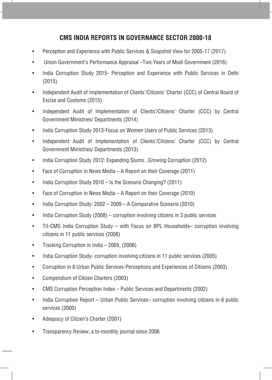#### **CMS India Reports in Governance Sector 2000-18**

- Perception and Experience with Public Services & Snapshot View for 2005-17 (2017)
- • Union Government's Performance Appraisal –Two Years of Modi Government (2016)
- India Corruption Study 2015- Perception and Experience with Public Services in Delhi (2015)
- Independent Audit of Implementation of Clients'/Citizens' Charter (CCC) of Central Board of Excise and Customs (2015)
- • Independent Audit of Implementation of Clients'/Citizens' Charter (CCC) by Central Government Ministries/ Departments (2014)
- India Corruption Study 2013-Focus on Women Users of Public Services (2013)
- • Independent Audit of Implementation of Clients'/Citizens' Charter (CCC) by Central Government Ministries/ Departments (2013)
- India Corruption Study 2012: Expanding Slums...Growing Corruption (2012)
- Face of Corruption in News Media A Report on their Coverage (2011)
- India Corruption Study 2010 Is the Scenario Changing? (2011)
- Face of Corruption in News Media A Report on their Coverage (2010)
- India Corruption Study: 2002 2009 A Comparative Scenario (2010)
- India Corruption Study (2008) corruption involving citizens in 3 public services
- TII-CMS India Corruption Study with Focus on BPL Households– corruption involving citizens in 11 public services (2008)
- • Tracking Corruption in India 2005, (2006)
- India Corruption Study- corruption involving citizens in 11 public services (2005)
- • Corruption in 8 Urban Public Services-Perceptions and Experiences of Citizens (2003)
- • Compendium of Citizen Charters (2003)
- CMS Corruption Perception Index Public Services and Departments (2002)
- India Corruption Report Urban Public Services– corruption involving citizens in 6 public services (2000)
- Adequacy of Citizen's Charter (2001)
- Transparency Review, a bi-monthly journal since 2006